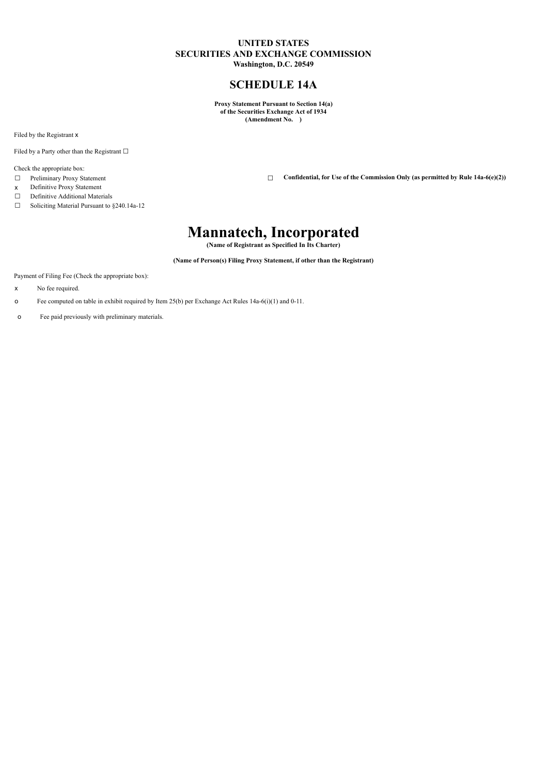# **UNITED STATES SECURITIES AND EXCHANGE COMMISSION Washington, D.C. 20549**

**SCHEDULE 14A**

**Proxy Statement Pursuant to Section 14(a) of the Securities Exchange Act of 1934 (Amendment No. )**

Filed by the Registrant x

Filed by a Party other than the Registrant  $\Box$ 

Check the appropriate box:

- 
- x Definitive Proxy Statement<br>  $\Box$  Definitive Additional Mater
- Definitive Additional Materials

☐ Soliciting Material Pursuant to §240.14a-12

☐ Preliminary Proxy Statement ☐ **Confidential, for Use of the Commission Only (as permitted by Rule 14a-6(e)(2))**

# **Mannatech, Incorporated**

**(Name of Registrant as Specified In Its Charter)**

**(Name of Person(s) Filing Proxy Statement, if other than the Registrant)**

Payment of Filing Fee (Check the appropriate box):

- x No fee required.
- o Fee computed on table in exhibit required by Item 25(b) per Exchange Act Rules 14a-6(i)(1) and 0-11.
- o Fee paid previously with preliminary materials.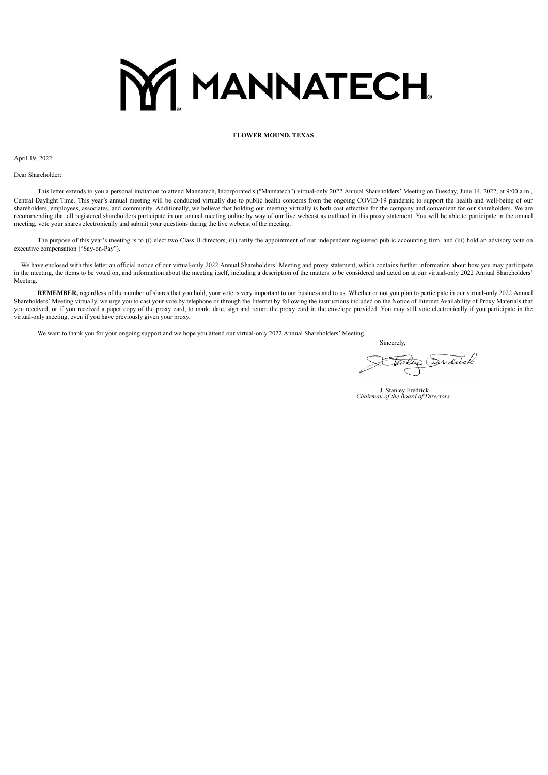# **MY MANNATECH.**

# **FLOWER MOUND, TEXAS**

April 19, 2022

Dear Shareholder:

This letter extends to you a personal invitation to attend Mannatech, Incorporated's ("Mannatech") virtual-only 2022 Annual Shareholders' Meeting on Tuesday, June 14, 2022, at 9:00 a.m., Central Daylight Time. This year's annual meeting will be conducted virtually due to public health concerns from the ongoing COVID-19 pandemic to support the health and well-being of our shareholders, employees, associates, and community. Additionally, we believe that holding our meeting virtually is both cost effective for the company and convenient for our shareholders. We are recommending that all registered shareholders participate in our annual meeting online by way of our live webcast as outlined in this proxy statement. You will be able to participate in the annual meeting, vote your shares electronically and submit your questions during the live webcast of the meeting.

The purpose of this year's meeting is to (i) elect two Class II directors, (ii) ratify the appointment of our independent registered public accounting firm, and (iii) hold an advisory vote on executive compensation ("Say-on-Pay").

We have enclosed with this letter an official notice of our virtual-only 2022 Annual Shareholders' Meeting and proxy statement, which contains further information about how you may participate in the meeting, the items to be voted on, and information about the meeting itself, including a description of the matters to be considered and acted on at our virtual-only 2022 Annual Shareholders' Meeting.

**REMEMBER,** regardless of the number of shares that you hold, your vote is very important to our business and to us. Whether or not you plan to participate in our virtual-only 2022 Annual Shareholders' Meeting virtually, we urge you to cast your vote by telephone or through the Internet by following the instructions included on the Notice of Internet Availability of Proxy Materials that you received, or if you received a paper copy of the proxy card, to mark, date, sign and return the proxy card in the envelope provided. You may still vote electronically if you participate in the virtual-only meeting, even if you have previously given your proxy.

We want to thank you for your ongoing support and we hope you attend our virtual-only 2022 Annual Shareholders' Meeting.

Sincerely,

Tailey Exedicate

J. Stanley Fredrick *Chairman of the Board of Directors*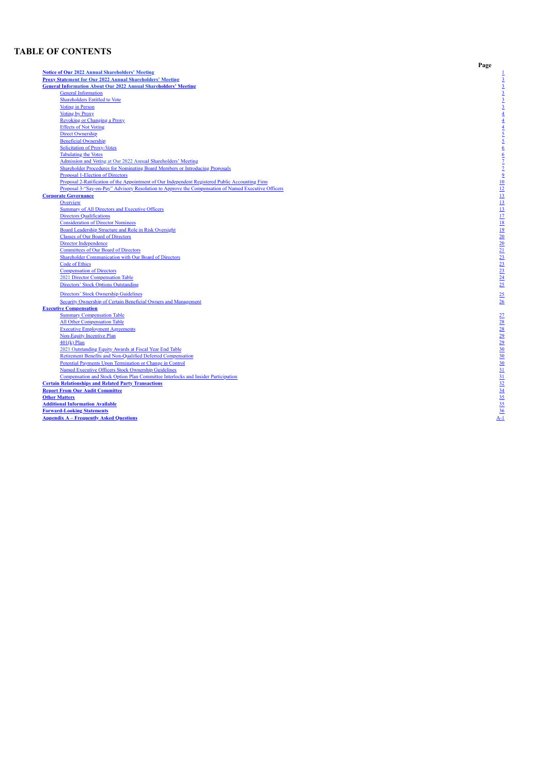# **TABLE OF CONTENTS**

**Notice of [O](#page-2-0)u[r](#page-2-0) 2022 Annual Shareholders' [M](#page-2-0)eeting [P](#page-4-0)roxy State[m](#page-4-0)ent [fo](#page-4-0)[r](#page-4-0) [O](#page-4-0)ur 2022 [A](#page-4-0)nnual Shareholder[s'](#page-4-0) [M](#page-4-0)eeting General Infor[m](#page-5-0)ation About Our 2022 Annual Shareholders' [M](#page-5-0)eeting** General In[fo](#page-5-1)rmation Shareholders Entitled to [Vo](#page-5-3)te<br>Voting in Person [Vo](#page-6-0)ting by Proxy Revok[in](#page-6-1)g or Changing a Proxy<br>Effects of Not [Vo](#page-6-2)ting [D](#page-7-0)irect Ownership Beneficial Ownersh[ip](#page-7-1) Solicitation of Proxy-[Vo](#page-7-2)tes <u>Tabulating the [Vo](#page-9-0)tes</u><br>Admission and Voting at [O](#page-9-0)ur 2022 [A](#page-9-0)nnual Shareholders' [M](#page-9-0)eeting<br>Shareholder Procedures for Nominating Board M[em](#page-9-1)bers or Introducing Proposals Proposal 1-Election of Directors<br>Proposal 2-Ratification of the Appointment of Our Independent Registered Public Accounting Firm Proposal 3-"Say-on-Pay" Advisory Resolution to Approve the Compensation of Named Executive Officers **Corporate [G](#page-14-0)overnance** [O](#page-15-0)verview<br>Summary of All Directors and Executive O[ffi](#page-15-1)cers [D](#page-19-0)irectors Qualifications<br>Consideration of Director No[m](#page-20-0)inees Board Leadership S[tru](#page-21-0)cture and Role in Risk Oversight  $\frac{t}{1}$ Classes of [O](#page-22-0)ur Board of Directors [D](#page-22-1)irector Independence<br>Co[m](#page-22-2)mittees of Our Board of Directors Shareholder Communication wi[th](#page-24-0) Our Board of Directors Code of E[th](#page-25-0)ics<br>Co[m](#page-25-1)pensation of Directors 2021 [D](#page-26-0)irector Compensation [Ta](#page-26-0)ble<br>Direc[to](#page-26-1)rs' Stock Options Outstanding Directors' Stock Ownersh[ip](#page-27-0) Guidelines Security Ownership of Certain B[en](#page-27-1)eficial Owners and Management that is a state of  $\frac{1}{2}$  is a state of  $\frac{26}{2}$ **Executive Co[m](#page-28-0)pensation**<br>
Summary Compensation [Ta](#page-29-0)ble All Other Compensation [Ta](#page-29-1)ble<br>Executive E[m](#page-30-0)ployment Agreements<br>[N](#page-30-1)on-Equity Incentive Plan 401(k) P[la](#page-31-0)n<br>2021 [O](#page-31-1)utstanding Equity Awards at Fiscal Year End Table Retire[m](#page-32-0)ent Benefits and Non-Qualified Deferred Compensation<br>Potential Payments Upon [Te](#page-32-1)rmination or Change in Control<br>Named Executive O[ffi](#page-33-0)cers Stock Ownership Guidelines  $\frac{1}{30}$ **Compensation and S[to](#page-33-1)ck Option Plan Committee Interlocks and Insider Participation**<br>Certain Relationships and Related Party [Tr](#page-33-2)ansactions <[m](#page-35-0)ark>Report From Our Audit Committee</mark><br>Other [M](#page-36-0)atters **Additional Information [Av](#page-37-0)ailable** 

<span id="page-2-0"></span><u> Forward-Look[in](#page-37-1)g Statements</u><br>Appendix A – Frequently A[sk](#page-38-0)ed Questions

**P a g e**

[1](#page-2-0)

[3](#page-4-0)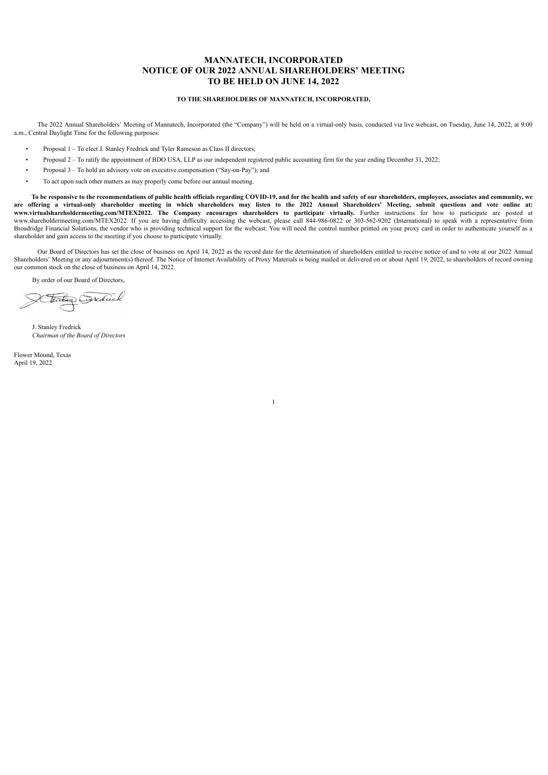# **MANNATECH, INCORPORATED NOTICE OF OUR 2022 ANNUAL SHAREHOLDERS' MEETING TO BE HELD ON JUNE 14, 2022**

# **TO THE SHAREHOLDERS OF MANNATECH, INCORPORATED,**

The 2022 Annual Shareholders' Meeting of Mannatech, Incorporated (the "Company") will be held on a virtual-only basis, conducted via live webcast, on Tuesday, June 14, 2022, at 9:00 a.m., Central Daylight Time for the following purposes:

- Proposal 1 To elect J. Stanley Fredrick and Tyler Rameson as Class II directors;
- Proposal 2 To ratify the appointment of BDO USA, LLP as our independent registered public accounting firm for the year ending December 31, 2022;
- Proposal 3 To hold an advisory vote on executive compensation ("Say-on-Pay"); and
- To act upon such other matters as may properly come before our annual meeting.

To be responsive to the recommendations of public health officials regarding COVID-19, and for the health and safety of our shareholders, employees, associates and community, we are offering a virtual-only shareholder meeting in which shareholders may listen to the 2022 Annual Shareholders' Meeting, submit questions and vote online at: **www.virtualshareholdermeeting.com/MTEX2022. The Company encourages shareholders to participate virtually.** Further instructions for how to participate are posted at www.shareholdermeeting.com/MTEX2022. If you are having difficulty accessing the webcast, please call 844-986-0822 or 303-562-9202 (International) to speak with a representative from Broadridge Financial Solutions, the vendor who is providing technical support for the webcast. You will need the control number printed on your proxy card in order to authenticate yourself as a shareholder and gain access to the meeting if you choose to participate virtually.

Our Board of Directors has set the close of business on April 14, 2022 as the record date for the determination of shareholders entitled to receive notice of and to vote at our 2022 Annual Shareholders' Meeting or any adjournment(s) thereof. The Notice of Internet Availability of Proxy Materials is being mailed or delivered on or about April 19, 2022, to shareholders of record owning our common stock on the close of business on April 14, 2022.

1

By order of our Board of Directors,

tailen Sordick

J. Stanley Fredrick *Chairman of the Board of Directors*

Flower Mound, Texas April 19, 2022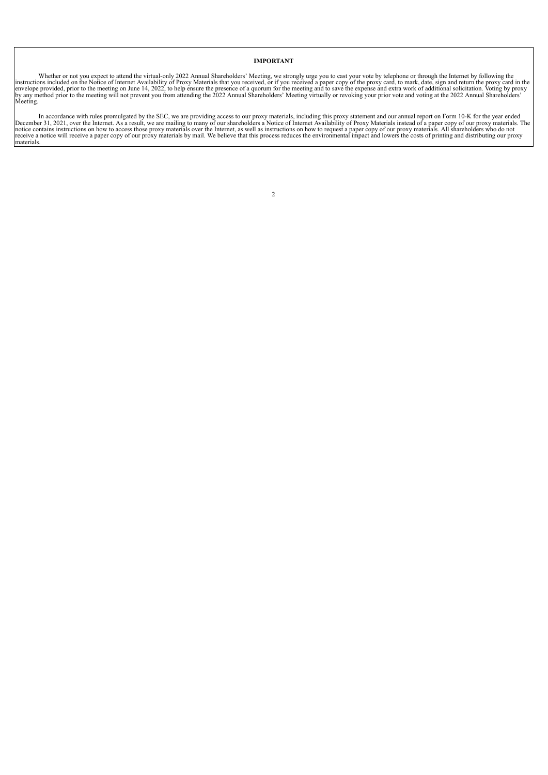# **IMPORTANT**

Whether or not you expect to attend the virtual-only 2022 Annual Shareholders' Meeting, we strongly urge you to cast your vote by telephone or through the Internet by following the instructions included on the Notice of In

<span id="page-4-0"></span>In accordance with rules promulgated by the SEC, we are providing access to our proxy materials, including this proxy statement and our annual report on Form 10-K for the year ended<br>December 31, 2021, over the Internet. As

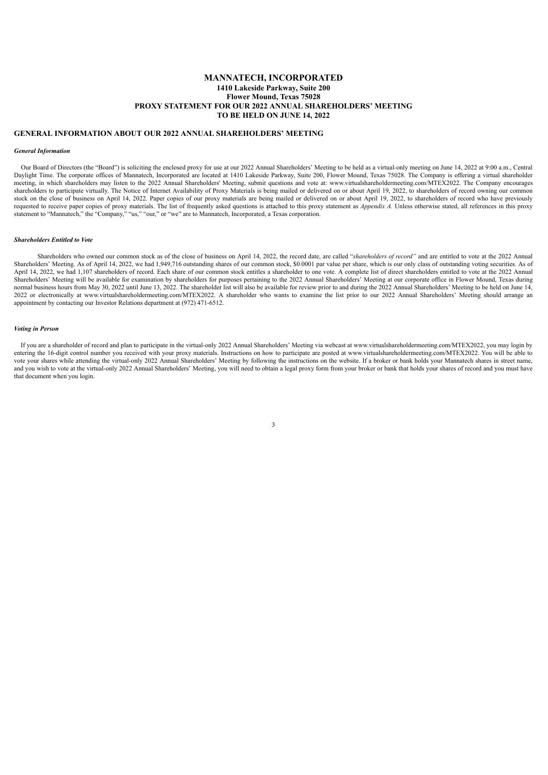# **MANNATECH, INCORPORATED 1410 Lakeside Parkway, Suite 200 Flower Mound, Texas 75028 PROXY STATEMENT FOR OUR 2022 ANNUAL SHAREHOLDERS' MEETING TO BE HELD ON JUNE 14, 2022**

### <span id="page-5-0"></span>**GENERAL INFORMATION ABOUT OUR 2022 ANNUAL SHAREHOLDERS' MEETING**

# <span id="page-5-1"></span>*General Information*

Our Board of Directors (the "Board") is soliciting the enclosed proxy for use at our 2022 Annual Shareholders' Meeting to be held as a virtual-only meeting on June 14, 2022 at 9:00 a.m., Central Daylight Time. The corporate offices of Mannatech, Incorporated are located at 1410 Lakeside Parkway, Suite 200, Flower Mound, Texas 75028. The Company is offering a virtual shareholder meeting, in which shareholders may listen to the 2022 Annual Shareholders' Meeting, submit questions and vote at: www.virtualshareholdermeeting.com/MTEX2022. The Company encourages shareholders to participate virtually. The Notice of Internet Availability of Proxy Materials is being mailed or delivered on or about April 19, 2022, to shareholders of record owning our common stock on the close of business on April 14, 2022. Paper copies of our proxy materials are being mailed or delivered on or about April 19, 2022, to shareholders of record who have previously requested to receive paper copies of proxy materials. The list of frequently asked questions is attached to this proxy statement as *Appendix A.* Unless otherwise stated, all references in this proxy statement to "Mannatech," the "Company," "us," "our," or "we" are to Mannatech, Incorporated, a Texas corporation.

### <span id="page-5-2"></span>*Shareholders Entitled to Vote*

Shareholders who owned our common stock as of the close of business on April 14, 2022, the record date, are called "*shareholders of record"* and are entitled to vote at the 2022 Annual Shareholders' Meeting. As of April 14, 2022, we had 1,949,716 outstanding shares of our common stock, \$0.0001 par value per share, which is our only class of outstanding voting securities. As of April 14, 2022, we had 1,107 shareholders of record. Each share of our common stock entitles a shareholder to one vote. A complete list of direct shareholders entitled to vote at the 2022 Annual Shareholders' Meeting will be available for examination by shareholders for purposes pertaining to the 2022 Annual Shareholders' Meeting at our corporate office in Flower Mound, Texas during normal business hours from May 30, 2022 until June 13, 2022. The shareholder list will also be available for review prior to and during the 2022 Annual Shareholders' Meeting to be held on June 14, 2022 or electronically at www.virtualshareholdermeeting.com/MTEX2022. A shareholder who wants to examine the list prior to our 2022 Annual Shareholders' Meeting should arrange an appointment by contacting our Investor Relations department at (972) 471-6512.

### <span id="page-5-3"></span>*Voting in Person*

If you are a shareholder of record and plan to participate in the virtual-only 2022 Annual Shareholders' Meeting via webcast at www.virtualshareholdermeeting.com/MTEX2022, you may login by entering the 16-digit control number you received with your proxy materials. Instructions on how to participate are posted at www.virtualshareholdermeeting.com/MTEX2022. You will be able to vote your shares while attending the virtual-only 2022 Annual Shareholders' Meeting by following the instructions on the website. If a broker or bank holds your Mannatech shares in street name, and you wish to vote at the virtual-only 2022 Annual Shareholders' Meeting, you will need to obtain a legal proxy form from your broker or bank that holds your shares of record and you must have that document when you login.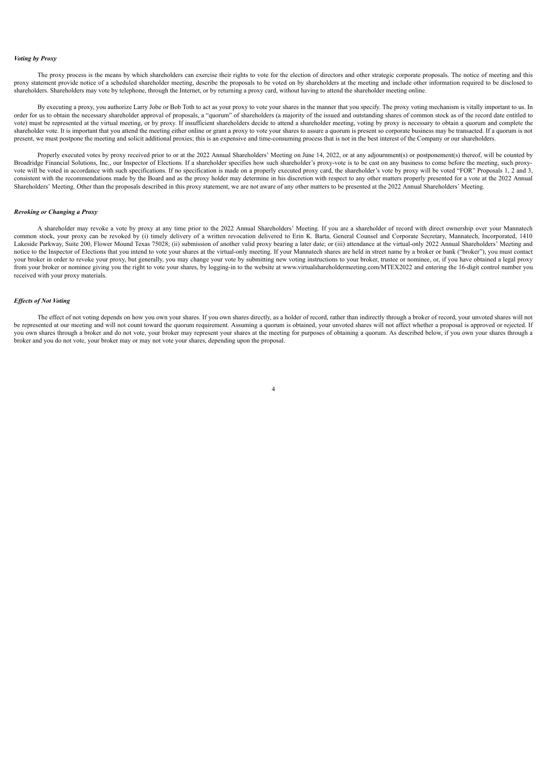### <span id="page-6-0"></span>*Voting by Proxy*

The proxy process is the means by which shareholders can exercise their rights to vote for the election of directors and other strategic corporate proposals. The notice of meeting and this proxy statement provide notice of a scheduled shareholder meeting, describe the proposals to be voted on by shareholders at the meeting and include other information required to be disclosed to shareholders. Shareholders may vote by telephone, through the Internet, or by returning a proxy card, without having to attend the shareholder meeting online.

By executing a proxy, you authorize Larry Jobe or Bob Toth to act as your proxy to vote your shares in the manner that you specify. The proxy voting mechanism is vitally important to us. In order for us to obtain the necessary shareholder approval of proposals, a "quorum" of shareholders (a majority of the issued and outstanding shares of common stock as of the record date entitled to vote) must be represented at the virtual meeting, or by proxy. If insufficient shareholders decide to attend a shareholder meeting, voting by proxy is necessary to obtain a quorum and complete the shareholder vote. It is important that you attend the meeting either online or grant a proxy to vote your shares to assure a quorum is present so corporate business may be transacted. If a quorum is not present, we must postpone the meeting and solicit additional proxies; this is an expensive and time-consuming process that is not in the best interest of the Company or our shareholders.

Properly executed votes by proxy received prior to or at the 2022 Annual Shareholders' Meeting on June 14, 2022, or at any adjournment(s) or postponement(s) thereof, will be counted by Broadridge Financial Solutions, Inc., our Inspector of Elections. If a shareholder specifies how such shareholder's proxy-vote is to be cast on any business to come before the meeting, such proxyvote will be voted in accordance with such specifications. If no specification is made on a properly executed proxy card, the shareholder's vote by proxy will be voted "FOR" Proposals 1, 2 and 3, consistent with the recommendations made by the Board and as the proxy holder may determine in his discretion with respect to any other matters properly presented for a vote at the 2022 Annual Shareholders' Meeting. Other than the proposals described in this proxy statement, we are not aware of any other matters to be presented at the 2022 Annual Shareholders' Meeting.

### <span id="page-6-1"></span>*Revoking or Changing a Proxy*

A shareholder may revoke a vote by proxy at any time prior to the 2022 Annual Shareholders' Meeting. If you are a shareholder of record with direct ownership over your Mannatech common stock, your proxy can be revoked by (i) timely delivery of a written revocation delivered to Erin K. Barta, General Counsel and Corporate Secretary, Mannatech, Incorporated, 1410 Lakeside Parkway, Suite 200, Flower Mound Texas 75028; (ii) submission of another valid proxy bearing a later date; or (iii) attendance at the virtual-only 2022 Annual Shareholders' Meeting and notice to the Inspector of Elections that you intend to vote your shares at the virtual-only meeting. If your Mannatech shares are held in street name by a broker or bank ("broker"), you must contact your broker in order to revoke your proxy, but generally, you may change your vote by submitting new voting instructions to your broker, trustee or nominee, or, if you have obtained a legal proxy from your broker or nominee giving you the right to vote your shares, by logging-in to the website at www.virtualshareholdermeeting.com/MTEX2022 and entering the 16-digit control number you received with your proxy materials.

# <span id="page-6-2"></span>*Ef ects of Not Voting*

The effect of not voting depends on how you own your shares. If you own shares directly, as a holder of record, rather than indirectly through a broker of record, your unvoted shares will not be represented at our meeting and will not count toward the quorum requirement. Assuming a quorum is obtained, your unvoted shares will not affect whether a proposal is approved or rejected. If you own shares through a broker and do not vote, your broker may represent your shares at the meeting for purposes of obtaining a quorum. As described below, if you own your shares through a broker and you do not vote, your broker may or may not vote your shares, depending upon the proposal.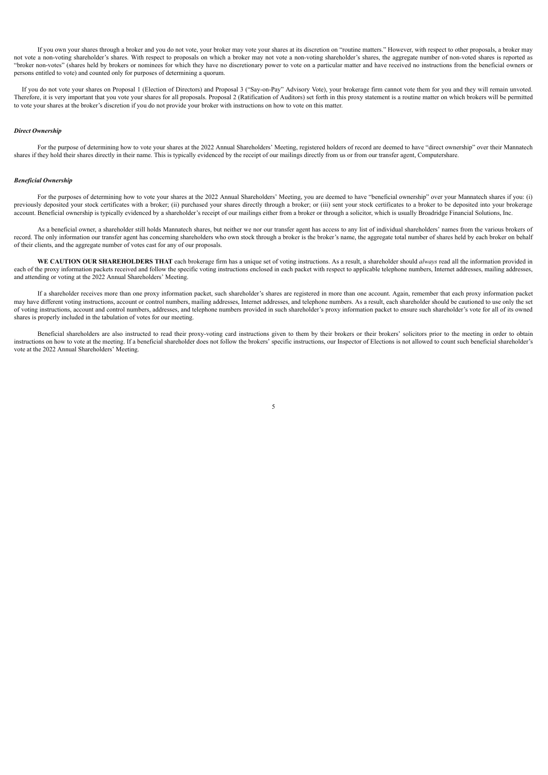If you own your shares through a broker and you do not vote, your broker may vote your shares at its discretion on "routine matters." However, with respect to other proposals, a broker may not vote a non-voting shareholder's shares. With respect to proposals on which a broker may not vote a non-voting shareholder's shares, the aggregate number of non-voted shares is reported as "broker non-votes" (shares held by brokers or nominees for which they have no discretionary power to vote on a particular matter and have received no instructions from the beneficial owners or persons entitled to vote) and counted only for purposes of determining a quorum.

If you do not vote your shares on Proposal 1 (Election of Directors) and Proposal 3 ("Say-on-Pay" Advisory Vote), your brokerage firm cannot vote them for you and they will remain unvoted. Therefore, it is very important that you vote your shares for all proposals. Proposal 2 (Ratification of Auditors) set forth in this proxy statement is a routine matter on which brokers will be permitted to vote your shares at the broker's discretion if you do not provide your broker with instructions on how to vote on this matter.

### <span id="page-7-0"></span>*Direct Ownership*

For the purpose of determining how to vote your shares at the 2022 Annual Shareholders' Meeting, registered holders of record are deemed to have "direct ownership" over their Mannatech shares if they hold their shares directly in their name. This is typically evidenced by the receipt of our mailings directly from us or from our transfer agent, Computershare.

# <span id="page-7-1"></span>*Beneficial Ownership*

For the purposes of determining how to vote your shares at the 2022 Annual Shareholders' Meeting, you are deemed to have "beneficial ownership" over your Mannatech shares if you: (i) previously deposited your stock certificates with a broker; (ii) purchased your shares directly through a broker; or (iii) sent your stock certificates to a broker to be deposited into your brokerage account. Beneficial ownership is typically evidenced by a shareholder's receipt of our mailings either from a broker or through a solicitor, which is usually Broadridge Financial Solutions, Inc.

As a beneficial owner, a shareholder still holds Mannatech shares, but neither we nor our transfer agent has access to any list of individual shareholders' names from the various brokers of record. The only information our transfer agent has concerning shareholders who own stock through a broker is the broker's name, the aggregate total number of shares held by each broker on behalf of their clients, and the aggregate number of votes cast for any of our proposals.

**WE CAUTION OUR SHAREHOLDERS THAT** each brokerage firm has a unique set of voting instructions. As a result, a shareholder should *always* read all the information provided in each of the proxy information packets received and follow the specific voting instructions enclosed in each packet with respect to applicable telephone numbers, Internet addresses, mailing addresses, and attending or voting at the 2022 Annual Shareholders' Meeting.

If a shareholder receives more than one proxy information packet, such shareholder's shares are registered in more than one account. Again, remember that each proxy information packet may have different voting instructions, account or control numbers, mailing addresses, Internet addresses, and telephone numbers. As a result, each shareholder should be cautioned to use only the set of voting instructions, account and control numbers, addresses, and telephone numbers provided in such shareholder's proxy information packet to ensure such shareholder's vote for all of its owned shares is properly included in the tabulation of votes for our meeting.

<span id="page-7-2"></span>Beneficial shareholders are also instructed to read their proxy-voting card instructions given to them by their brokers or their brokers' solicitors prior to the meeting in order to obtain instructions on how to vote at the meeting. If a beneficial shareholder does not follow the brokers' specific instructions, our Inspector of Elections is not allowed to count such beneficial shareholder's vote at the 2022 Annual Shareholders' Meeting.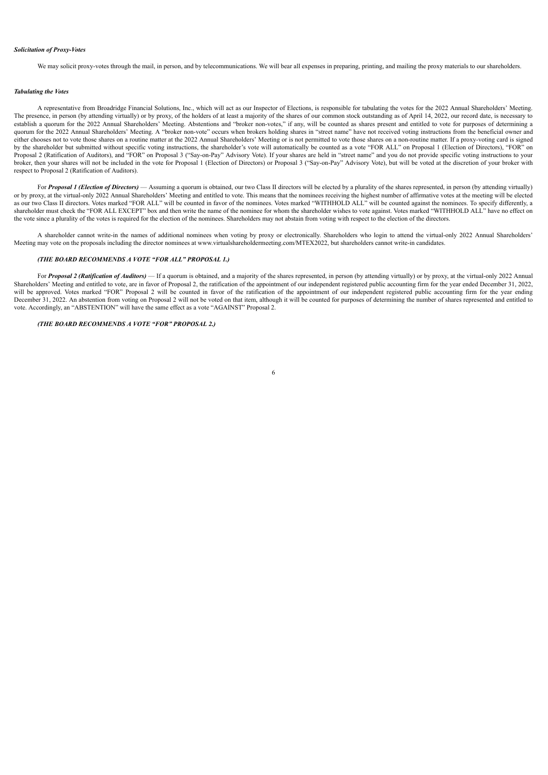# *Solicitation of Proxy-Votes*

We may solicit proxy-votes through the mail, in person, and by telecommunications. We will bear all expenses in preparing, printing, and mailing the proxy materials to our shareholders.

### <span id="page-8-0"></span>*Tabulating the Votes*

A representative from Broadridge Financial Solutions, Inc., which will act as our Inspector of Elections, is responsible for tabulating the votes for the 2022 Annual Shareholders' Meeting. The presence, in person (by attending virtually) or by proxy, of the holders of at least a majority of the shares of our common stock outstanding as of April 14, 2022, our record date, is necessary to establish a quorum for the 2022 Annual Shareholders' Meeting. Abstentions and "broker non-votes," if any, will be counted as shares present and entitled to vote for purposes of determining a quorum for the 2022 Annual Shareholders' Meeting. A "broker non-vote" occurs when brokers holding shares in "street name" have not received voting instructions from the beneficial owner and either chooses not to vote those shares on a routine matter at the 2022 Annual Shareholders' Meeting or is not permitted to vote those shares on a non-routine matter. If a proxy-voting card is signed by the shareholder but submitted without specific voting instructions, the shareholder's vote will automatically be counted as a vote "FOR ALL" on Proposal 1 (Election of Directors), "FOR" on Proposal 2 (Ratification of Auditors), and "FOR" on Proposal 3 ("Say-on-Pay" Advisory Vote). If your shares are held in "street name" and you do not provide specific voting instructions to your broker, then your shares will not be included in the vote for Proposal 1 (Election of Directors) or Proposal 3 ("Say-on-Pay" Advisory Vote), but will be voted at the discretion of your broker with respect to Proposal 2 (Ratification of Auditors).

For **Proposal 1 (Election of Directors)** — Assuming a quorum is obtained, our two Class II directors will be elected by a plurality of the shares represented, in person (by attending virtually) or by proxy, at the virtual-only 2022 Annual Shareholders' Meeting and entitled to vote. This means that the nominees receiving the highest number of affirmative votes at the meeting will be elected as our two Class II directors. Votes marked "FOR ALL" will be counted in favor of the nominees. Votes marked "WITHHOLD ALL" will be counted against the nominees. To specify differently, a shareholder must check the "FOR ALL EXCEPT" box and then write the name of the nominee for whom the shareholder wishes to vote against. Votes marked "WITHHOLD ALL" have no effect on the vote since a plurality of the votes is required for the election of the nominees. Shareholders may not abstain from voting with respect to the election of the directors.

A shareholder cannot write-in the names of additional nominees when voting by proxy or electronically. Shareholders who login to attend the virtual-only 2022 Annual Shareholders' Meeting may vote on the proposals including the director nominees at www.virtualshareholdermeeting.com/MTEX2022, but shareholders cannot write-in candidates.

# *(THE BOARD RECOMMENDS A VOTE "FOR ALL" PROPOSAL 1.)*

For Proposal 2 (Ratification of Auditors) - If a quorum is obtained, and a majority of the shares represented, in person (by attending virtually) or by proxy, at the virtual-only 2022 Annual Shareholders' Meeting and entitled to vote, are in favor of Proposal 2, the ratification of the appointment of our independent registered public accounting firm for the year ended December 31, 2022, will be approved. Votes marked "FOR" Proposal 2 will be counted in favor of the ratification of the appointment of our independent registered public accounting firm for the year ending December 31, 2022. An abstention from voting on Proposal 2 will not be voted on that item, although it will be counted for purposes of determining the number of shares represented and entitled to vote. Accordingly, an "ABSTENTION" will have the same effect as a vote "AGAINST" Proposal 2.

# *(THE BOARD RECOMMENDS A VOTE "FOR" PROPOSAL 2.)*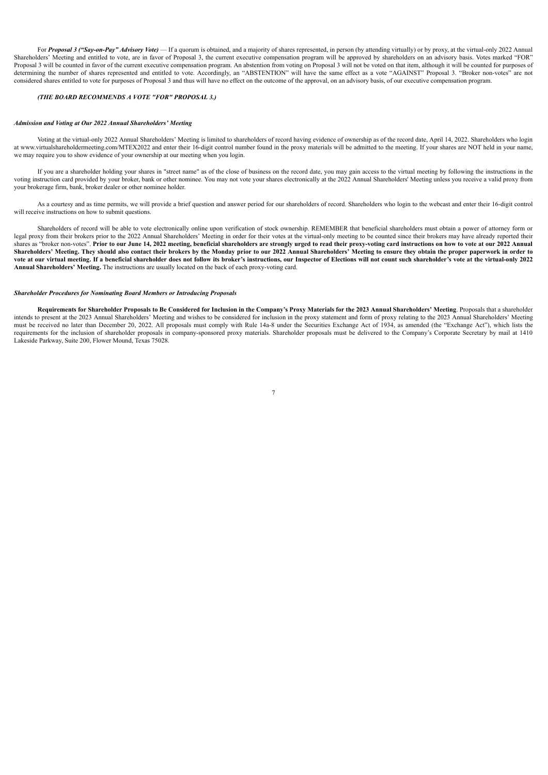For *Proposal 3 ("Say-on-Pay" <i>Advisory Vote*) — If a quorum is obtained, and a majority of shares represented, in person (by attending virtually) or by proxy, at the virtual-only 2022 Annual Shareholders' Meeting and entitled to vote, are in favor of Proposal 3, the current executive compensation program will be approved by shareholders on an advisory basis. Votes marked "FOR" Proposal 3 will be counted in favor of the current executive compensation program. An abstention from voting on Proposal 3 will not be voted on that item, although it will be counted for purposes of determining the number of shares represented and entitled to vote. Accordingly, an "ABSTENTION" will have the same effect as a vote "AGAINST" Proposal 3. "Broker non-votes" are not considered shares entitled to vote for purposes of Proposal 3 and thus will have no effect on the outcome of the approval, on an advisory basis, of our executive compensation program.

# *(THE BOARD RECOMMENDS A VOTE "FOR" PROPOSAL 3.)*

### <span id="page-9-0"></span>*Admission and Voting at Our 2022 Annual Shareholders' Meeting*

Voting at the virtual-only 2022 Annual Shareholders' Meeting is limited to shareholders of record having evidence of ownership as of the record date, April 14, 2022. Shareholders who login at www.virtualshareholdermeeting.com/MTEX2022 and enter their 16-digit control number found in the proxy materials will be admitted to the meeting. If your shares are NOT held in your name, we may require you to show evidence of your ownership at our meeting when you login.

If you are a shareholder holding your shares in "street name" as of the close of business on the record date, you may gain access to the virtual meeting by following the instructions in the voting instruction card provided by your broker, bank or other nominee. You may not vote your shares electronically at the 2022 Annual Shareholders' Meeting unless you receive a valid proxy from your brokerage firm, bank, broker dealer or other nominee holder.

As a courtesy and as time permits, we will provide a brief question and answer period for our shareholders of record. Shareholders who login to the webcast and enter their 16-digit control will receive instructions on how to submit questions.

Shareholders of record will be able to vote electronically online upon verification of stock ownership. REMEMBER that beneficial shareholders must obtain a power of attorney form or legal proxy from their brokers prior to the 2022 Annual Shareholders' Meeting in order for their votes at the virtual-only meeting to be counted since their brokers may have already reported their shares as "broker non-votes". Prior to our June 14, 2022 meeting, beneficial shareholders are strongly urged to read their proxy-voting card instructions on how to vote at our 2022 Annual Shareholders' Meeting. They should also contact their brokers by the Monday prior to our 2022 Annual Shareholders' Meeting to ensure they obtain the proper paperwork in order to vote at our virtual meeting. If a beneficial shareholder does not follow its broker's instructions, our Inspector of Elections will not count such shareholder's vote at the virtual-only 2022 **Annual Shareholders' Meeting.** The instructions are usually located on the back of each proxy-voting card.

### <span id="page-9-1"></span>*Shareholder Procedures for Nominating Board Members or Introducing Proposals*

Requirements for Shareholder Proposals to Be Considered for Inclusion in the Company's Proxy Materials for the 2023 Annual Shareholders' Meeting. Proposals that a shareholder intends to present at the 2023 Annual Shareholders' Meeting and wishes to be considered for inclusion in the proxy statement and form of proxy relating to the 2023 Annual Shareholders' Meeting must be received no later than December 20, 2022. All proposals must comply with Rule 14a-8 under the Securities Exchange Act of 1934, as amended (the "Exchange Act"), which lists the requirements for the inclusion of shareholder proposals in company-sponsored proxy materials. Shareholder proposals must be delivered to the Company's Corporate Secretary by mail at 1410 Lakeside Parkway, Suite 200, Flower Mound, Texas 75028.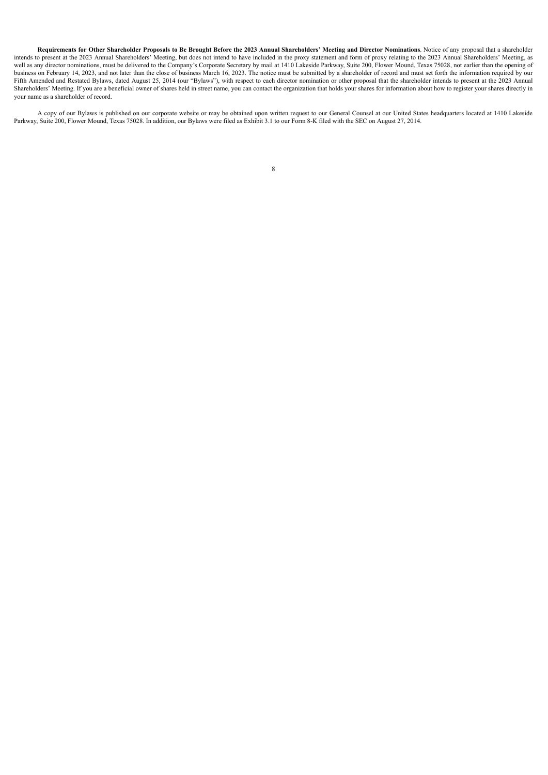Requirements for Other Shareholder Proposals to Be Brought Before the 2023 Annual Shareholders' Meeting and Director Nominations. Notice of any proposal that a shareholder intends to present at the 2023 Annual Shareholders' Meeting, but does not intend to have included in the proxy statement and form of proxy relating to the 2023 Annual Shareholders' Meeting, as well as any director nominations, must be delivered to the Company's Corporate Secretary by mail at 1410 Lakeside Parkway, Suite 200, Flower Mound, Texas 75028, not earlier than the opening of business on February 14, 2023, and not later than the close of business March 16, 2023. The notice must be submitted by a shareholder of record and must set forth the information required by our Fifth Amended and Restated Bylaws, dated August 25, 2014 (our "Bylaws"), with respect to each director nomination or other proposal that the shareholder intends to present at the 2023 Annual Shareholders' Meeting. If you are a beneficial owner of shares held in street name, you can contact the organization that holds your shares for information about how to register your shares directly in your name as a shareholder of record.

<span id="page-10-0"></span>A copy of our Bylaws is published on our corporate website or may be obtained upon written request to our General Counsel at our United States headquarters located at 1410 Lakeside Parkway, Suite 200, Flower Mound, Texas 75028. In addition, our Bylaws were filed as Exhibit 3.1 to our Form 8-K filed with the SEC on August 27, 2014.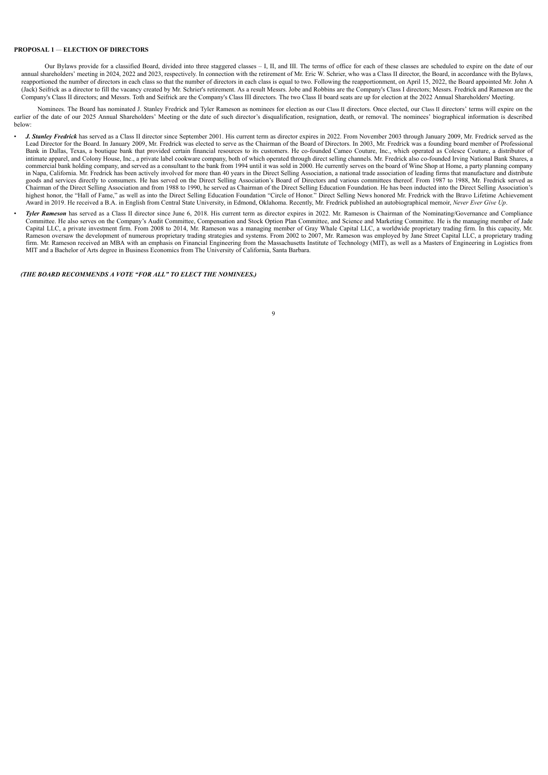# **PROPOSAL 1** *—* **ELECTION OF DIRECTORS**

Our Bylaws provide for a classified Board, divided into three staggered classes - I, II, and III. The terms of office for each of these classes are scheduled to expire on the date of our annual shareholders' meeting in 2024, 2022 and 2023, respectively. In connection with the retirement of Mr. Eric W. Schrier, who was a Class II director, the Board, in accordance with the Bylaws, reapportioned the number of directors in each class so that the number of directors in each class is equal to two. Following the reapportionment, on April 15, 2022, the Board appointed Mr. John A (Jack) Seifrick as a director to fill the vacancy created by Mr. Schrier's retirement. As a result Messrs. Jobe and Robbins are the Company's Class I directors; Messrs. Fredrick and Rameson are the Company's Class II directors; and Messrs. Toth and Seifrick are the Company's Class III directors. The two Class II board seats are up for election at the 2022 Annual Shareholders' Meeting.

Nominees. The Board has nominated J. Stanley Fredrick and Tyler Rameson as nominees for election as our Class II directors. Once elected, our Class II directors' terms will expire on the earlier of the date of our 2025 Annual Shareholders' Meeting or the date of such director's disqualification, resignation, death, or removal. The nominees' biographical information is described below:

- *J. Stanley Fredrick* has served as a Class II director since September 2001. His current term as director expires in 2022. From November 2003 through January 2009, Mr. Fredrick served as the Lead Director for the Board. In January 2009, Mr. Fredrick was elected to serve as the Chairman of the Board of Directors. In 2003, Mr. Fredrick was a founding board member of Professional Bank in Dallas, Texas, a boutique bank that provided certain financial resources to its customers. He co-founded Cameo Couture, Inc., which operated as Colesce Couture, a distributor of<br>intimate apparel, and Colony House, commercial bank holding company, and served as a consultant to the bank from 1994 until it was sold in 2000. He currently serves on the board of Wine Shop at Home, a party planning company in Napa, California. Mr. Fredrick has been actively involved for more than 40 years in the Direct Selling Association, a national trade association of leading firms that manufacture and distribute goods and services directly to consumers. He has served on the Direct Selling Association's Board of Directors and various committees thereof. From 1987 to 1988, Mr. Fredrick served as<br>Chairman of the Direct Selling Associ highest honor, the "Hall of Fame," as well as into the Direct Selling Education Foundation "Circle of Honor." Direct Selling News honored Mr. Fredrick with the Bravo Lifetime Achievement Award in 2019. He received a B.A. in English from Central State University, in Edmond, Oklahoma. Recently, Mr. Fredrick published an autobiographical memoir, *Never Ever Give Up*.
- *Tyler Rameson* has served as a Class II director since June 6, 2018. His current term as director expires in 2022. Mr. Rameson is Chairman of the Nominating/Governance and Compliance Committee. He also serves on the Company's Audit Committee, Compensation and Stock Option Plan Committee, and Science and Marketing Committee. He is the managing member of Jade<br>Capital LLC, a private investment firm. From firm. Mr. Rameson received an MBA with an emphasis on Financial Engineering from the Massachusetts Institute of Technology (MIT), as well as a Masters of Engineering in Logistics from MIT and a Bachelor of Arts degree in Business Economics from The University of California, Santa Barbara.

<span id="page-11-0"></span>*(THE BOARD RECOMMENDS A VOTE "FOR ALL" TO ELECT THE NOMINEES.)*

# $\overline{9}$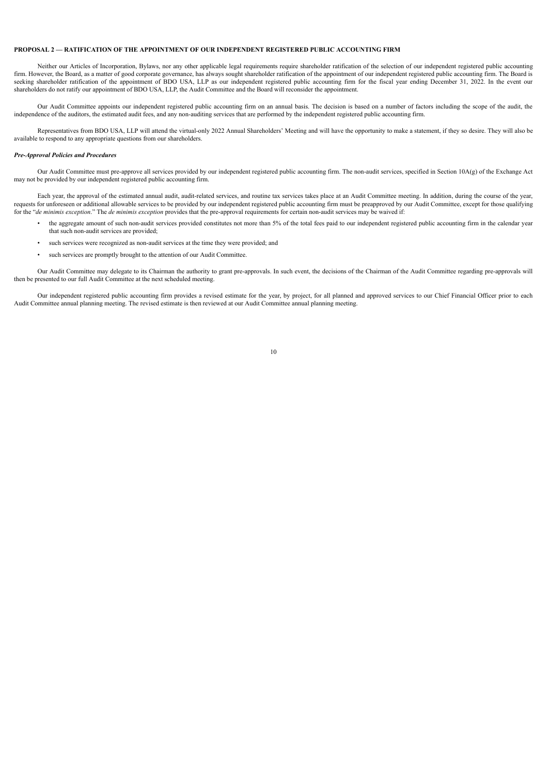# **PROPOSAL 2 — RATIFICATION OF THE APPOINTMENT OF OUR INDEPENDENT REGISTERED PUBLIC ACCOUNTING FIRM**

Neither our Articles of Incorporation, Bylaws, nor any other applicable legal requirements require shareholder ratification of the selection of our independent registered public accounting firm. However, the Board, as a matter of good corporate governance, has always sought shareholder ratification of the appointment of our independent registered public accounting firm. The Board is seeking shareholder ratification of the appointment of BDO USA, LLP as our independent registered public accounting firm for the fiscal year ending December 31, 2022. In the event our shareholders do not ratify our appointment of BDO USA, LLP, the Audit Committee and the Board will reconsider the appointment.

Our Audit Committee appoints our independent registered public accounting firm on an annual basis. The decision is based on a number of factors including the scope of the audit, the independence of the auditors, the estimated audit fees, and any non-auditing services that are performed by the independent registered public accounting firm.

Representatives from BDO USA, LLP will attend the virtual-only 2022 Annual Shareholders' Meeting and will have the opportunity to make a statement, if they so desire. They will also be available to respond to any appropriate questions from our shareholders.

# *Pre-Approval Policies and Procedures*

Our Audit Committee must pre-approve all services provided by our independent registered public accounting firm. The non-audit services, specified in Section 10A(g) of the Exchange Act may not be provided by our independent registered public accounting firm.

Each year, the approval of the estimated annual audit, audit-related services, and routine tax services takes place at an Audit Committee meeting. In addition, during the course of the year, requests for unforeseen or additional allowable services to be provided by our independent registered public accounting firm must be preapproved by our Audit Committee, except for those qualifying for the "*de minimis exception*." The *de minimis exception* provides that the pre-approval requirements for certain non-audit services may be waived if:

- the aggregate amount of such non-audit services provided constitutes not more than 5% of the total fees paid to our independent registered public accounting firm in the calendar year that such non-audit services are provided;
- such services were recognized as non-audit services at the time they were provided; and
- such services are promptly brought to the attention of our Audit Committee.

Our Audit Committee may delegate to its Chairman the authority to grant pre-approvals. In such event, the decisions of the Chairman of the Audit Committee regarding pre-approvals will then be presented to our full Audit Committee at the next scheduled meeting.

Our independent registered public accounting firm provides a revised estimate for the year, by project, for all planned and approved services to our Chief Financial Officer prior to each Audit Committee annual planning meeting. The revised estimate is then reviewed at our Audit Committee annual planning meeting.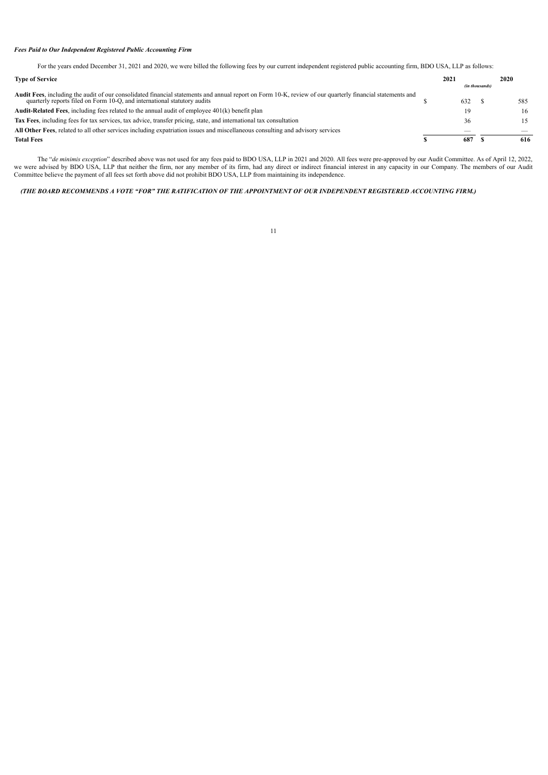# *Fees Paid to Our Independent Registered Public Accounting Firm*

For the years ended December 31, 2021 and 2020, we were billed the following fees by our current independent registered public accounting firm, BDO USA, LLP as follows:

| <b>Type of Service</b>                                                                                                                                                                                                                        | 2021 |                | 2020 |
|-----------------------------------------------------------------------------------------------------------------------------------------------------------------------------------------------------------------------------------------------|------|----------------|------|
|                                                                                                                                                                                                                                               |      | (in thousands) |      |
| <b>Audit Fees</b> , including the audit of our consolidated financial statements and annual report on Form 10-K, review of our quarterly financial statements and<br>quarterly reports filed on Form 10-Q, and international statutory audits | 632  |                | 585  |
| <b>Audit-Related Fees, including fees related to the annual audit of employee <math>401(k)</math> benefit plan</b>                                                                                                                            | 19   |                | 16   |
| Tax Fees, including fees for tax services, tax advice, transfer pricing, state, and international tax consultation                                                                                                                            | 36   |                |      |
| All Other Fees, related to all other services including expatriation issues and miscellaneous consulting and advisory services                                                                                                                |      |                |      |
| <b>Total Fees</b>                                                                                                                                                                                                                             | 687  |                | 616  |

The "*de minimis exception*" described above was not used for any fees paid to BDO USA, LLP in 2021 and 2020. All fees were pre-approved by our Audit Committee. As of April 12, 2022, we were advised by BDO USA, LLP that neither the firm, nor any member of its firm, had any direct or indirect financial interest in any capacity in our Company. The members of our Audit Committee believe the payment of all fees set forth above did not prohibit BDO USA, LLP from maintaining its independence.

# <span id="page-13-0"></span>(THE BOARD RECOMMENDS A VOTE "FOR" THE RATIFICATION OF THE APPOINTMENT OF OUR INDEPENDENT REGISTERED ACCOUNTING FIRM.)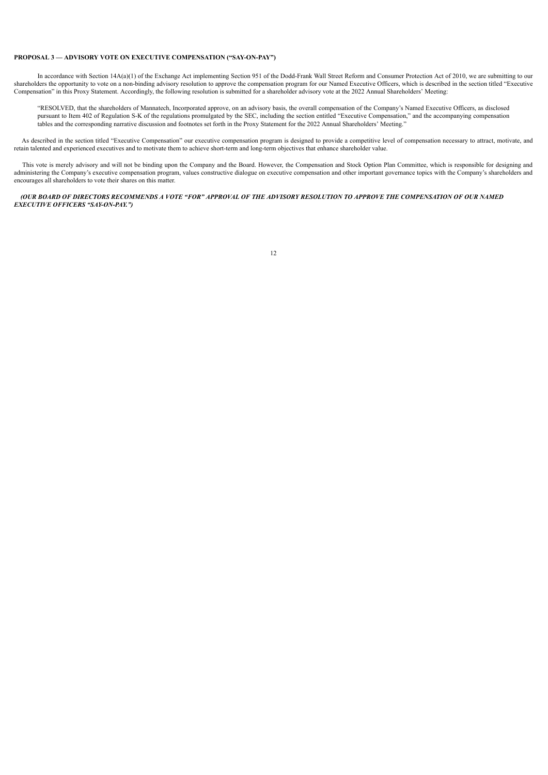# **PROPOSAL 3 — ADVISORY VOTE ON EXECUTIVE COMPENSATION ("SAY-ON-PAY")**

In accordance with Section 14A(a)(1) of the Exchange Act implementing Section 951 of the Dodd-Frank Wall Street Reform and Consumer Protection Act of 2010, we are submitting to our shareholders the opportunity to vote on a non-binding advisory resolution to approve the compensation program for our Named Executive Officers, which is described in the section titled "Executive Compensation" in this Proxy Statement. Accordingly, the following resolution is submitted for a shareholder advisory vote at the 2022 Annual Shareholders' Meeting:

"RESOLVED, that the shareholders of Mannatech, Incorporated approve, on an advisory basis, the overall compensation of the Company's Named Executive Officers, as disclosed pursuant to Item 402 of Regulation S-K of the regulations promulgated by the SEC, including the section entitled "Executive Compensation," and the accompanying compensation tables and the corresponding narrative discussion and footnotes set forth in the Proxy Statement for the 2022 Annual Shareholders' Meeting."

As described in the section titled "Executive Compensation" our executive compensation program is designed to provide a competitive level of compensation necessary to attract, motivate, and retain talented and experienced executives and to motivate them to achieve short-term and long-term objectives that enhance shareholder value.

This vote is merely advisory and will not be binding upon the Company and the Board. However, the Compensation and Stock Option Plan Committee, which is responsible for designing and administering the Company's executive compensation program, values constructive dialogue on executive compensation and other important governance topics with the Company's shareholders and encourages all shareholders to vote their shares on this matter.

<span id="page-14-0"></span>(OUR BOARD OF DIRECTORS RECOMMENDS A VOTE "FOR" APPROVAL OF THE ADVISORY RESOLUTION TO APPROVE THE COMPENSATION OF OUR NAMED *EXECUTIVE OFFICERS "SAY-ON-PAY.")*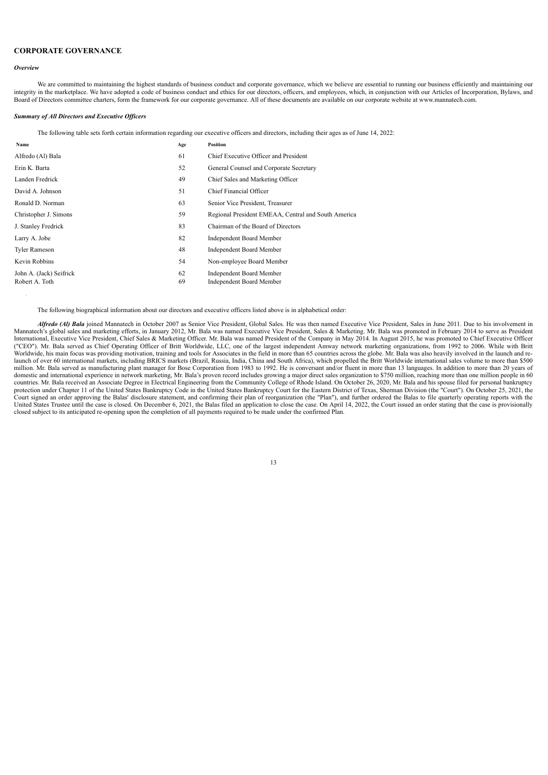# **CORPORATE GOVERNANCE**

### <span id="page-15-0"></span>*Overview*

We are committed to maintaining the highest standards of business conduct and corporate governance, which we believe are essential to running our business efficiently and maintaining our integrity in the marketplace. We have adopted a code of business conduct and ethics for our directors, officers, and employees, which, in conjunction with our Articles of Incorporation, Bylaws, and Board of Directors committee charters, form the framework for our corporate governance. All of these documents are available on our corporate website at www.mannatech.com.

# <span id="page-15-1"></span>*Summary of All Directors and Executive Of icers*

The following table sets forth certain information regarding our executive officers and directors, including their ages as of June 14, 2022:

| Name                    | Age | <b>Position</b>                                     |
|-------------------------|-----|-----------------------------------------------------|
| Alfredo (Al) Bala       | 61  | Chief Executive Officer and President               |
| Erin K. Barta           | 52  | General Counsel and Corporate Secretary             |
| Landen Fredrick         | 49  | Chief Sales and Marketing Officer                   |
| David A. Johnson        | 51  | Chief Financial Officer                             |
| Ronald D. Norman        | 63  | Senior Vice President, Treasurer                    |
| Christopher J. Simons   | 59  | Regional President EMEAA, Central and South America |
| J. Stanley Fredrick     | 83  | Chairman of the Board of Directors                  |
| Larry A. Jobe           | 82  | <b>Independent Board Member</b>                     |
| <b>Tyler Rameson</b>    | 48  | <b>Independent Board Member</b>                     |
| Kevin Robbins           | 54  | Non-employee Board Member                           |
| John A. (Jack) Seifrick | 62  | <b>Independent Board Member</b>                     |
| Robert A. Toth          | 69  | <b>Independent Board Member</b>                     |

The following biographical information about our directors and executive officers listed above is in alphabetical order:

Alfredo (Al) Bala joined Mannatech in October 2007 as Senior Vice President, Global Sales. He was then named Executive Vice President, Sales in June 2011. Due to his involvement in<br>Mannatech's global sales and marketing ef International, Executive Vice President, Chief Sales & Marketing Officer. Mr. Bala was named President of the Company in May 2014. In August 2015, he was promoted to Chief Executive Officer ("CEO"). Mr. Bala served as Chief Operating Officer of Britt Worldwide, LLC, one of the largest independent Amway network marketing organizations, from 1992 to 2006. While with Britt<br>Worldwide, his main focus was providing launch of over 60 international markets, including BRICS markets (Brazil, Russia, India, China and South Africa), which propelled the Britt Worldwide international sales volume to more than \$500 million. Mr. Bala served as domestic and international experience in network marketing, Mr. Bala's proven record includes growing a major direct sales organization to \$750 million, reaching more than one million people in 60 domestic and internationa countries. Mr. Bala received an Associate Degree in Electrical Engineering from the Community College of Rhode Island. On October 26, 2020, Mr. Bala and his spouse filed for personal bankruptcy<br>protection under Chapter 11 Court signed an order approving the Balas' disclosure statement, and confirming their plan of reorganization (the "Plan"), and further ordered the Balas to file quarterly operating reports with the United States Trustee until the case is closed. On December 6, 2021, the Balas filed an application to close the case. On April 14, 2022, the Court issued an order stating that the case is provisionally closed subject to its anticipated re-opening upon the completion of all payments required to be made under the confirmed Plan.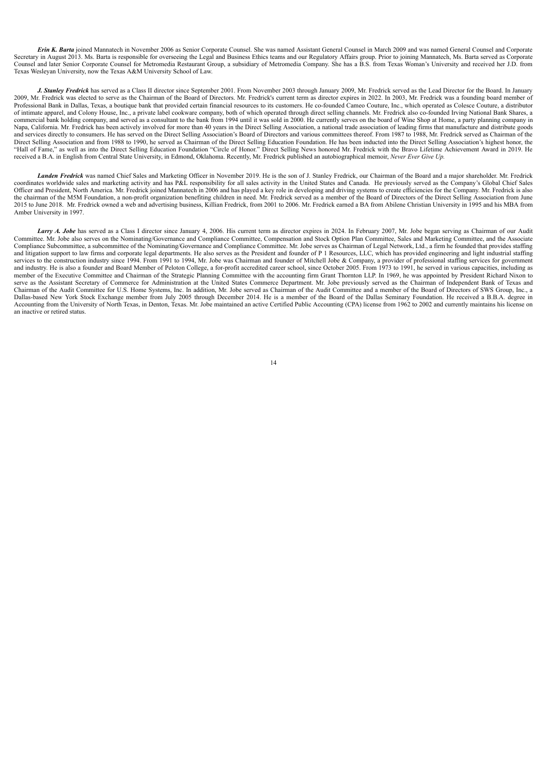*Erin K. Barta* joined Mannatech in November 2006 as Senior Corporate Counsel. She was named Assistant General Counsel in March 2009 and was named General Counsel and Corporate Secretary in August 2013. Ms. Barta is responsible for overseeing the Legal and Business Ethics teams and our Regulatory Affairs group. Prior to joining Mannatech, Ms. Barta served as Corporate Counsel and later Senior Corporate Counsel for Metromedia Restaurant Group, a subsidiary of Metromedia Company. She has a B.S. from Texas Woman's University and received her J.D. from Texas Wesleyan University, now the Texas A&M University School of Law.

*J. Stanley Fredrick* has served as a Class II director since September 2001. From November 2003 through January 2009, Mr. Fredrick served as the Lead Director for the Board. In January 2009, Mr. Fredrick was elected to serve as the Chairman of the Board of Directors. Mr. Fredrick's current term as director expires in 2022. In 2003, Mr. Fredrick was a founding board member of Professional Bank in Dallas, Texas, a boutique bank that provided certain financial resources to its customers. He co-founded Cameo Couture, Inc., which operated as Colesce Couture, a distributor of intimate apparel, and Colony House, Inc., a private label cookware company, both of which operated through direct selling channels. Mr. Fredrick also co-founded Irving National Bank Shares, a commercial bank holding company, and served as a consultant to the bank from 1994 until it was sold in 2000. He currently serves on the board of Wine Shop at Home, a party planning company in Napa, California. Mr. Fredrick has been actively involved for more than 40 years in the Direct Selling Association, a national trade association of leading firms that manufacture and distribute goods and services directly to consumers. He has served on the Direct Selling Association's Board of Directors and various committees thereof. From 1987 to 1988, Mr. Fredrick served as Chairman of the Direct Selling Association and from 1988 to 1990, he served as Chairman of the Direct Selling Education Foundation. He has been inducted into the Direct Selling Association's highest honor, the "Hall of Fame," as well as into the Direct Selling Education Foundation "Circle of Honor." Direct Selling News honored Mr. Fredrick with the Bravo Lifetime Achievement Award in 2019. He received a B.A. in English from Central State University, in Edmond, Oklahoma. Recently, Mr. Fredrick published an autobiographical memoir, *Never Ever Give Up.*

*Landen Fredrick* was named Chief Sales and Marketing Officer in November 2019. He is the son of J. Stanley Fredrick, our Chairman of the Board and a major shareholder. Mr. Fredrick coordinates worldwide sales and marketing activity and has P&L responsibility for all sales activity in the United States and Canada. He previously served as the Company's Global Chief Sales Officer and President, North America. Mr. Fredrick joined Mannatech in 2006 and has played a key role in developing and driving systems to create efficiencies for the Company. Mr. Fredrick is also the chairman of the M5M Foundation, a non-profit organization benefiting children in need. Mr. Fredrick served as a member of the Board of Directors of the Direct Selling Association from June 2015 to June 2018. Mr. Fredrick owned a web and advertising business. Killian Fredrick, from 2001 to 2006. Mr. Fredrick earned a BA from Abilene Christian University in 1995 and his MBA from Amber University in 1997.

*Larry A. Jobe* has served as a Class I director since January 4, 2006. His current term as director expires in 2024. In February 2007, Mr. Jobe began serving as Chairman of our Audit Committee. Mr. Jobe also serves on the Nominating/Governance and Compliance Committee, Compensation and Stock Option Plan Committee, Sales and Marketing Committee, and the Associate Compliance Subcommittee, a subcommittee of the Nominating/Governance and Compliance Committee. Mr. Jobe serves as Chairman of Legal Network, Ltd., a firm he founded that provides staffing and litigation support to law firms and corporate legal departments. He also serves as the President and founder of P 1 Resources, LLC, which has provided engineering and light industrial staffing services to the construction industry since 1994. From 1991 to 1994, Mr. Jobe was Chairman and founder of Mitchell Jobe & Company, a provider of professional staffing services for government and industry. He is also a founder and Board Member of Peloton College, a for-profit accredited career school, since October 2005. From 1973 to 1991, he served in various capacities, including as member of the Executive Committee and Chairman of the Strategic Planning Committee with the accounting firm Grant Thornton LLP. In 1969, he was appointed by President Richard Nixon to serve as the Assistant Secretary of Commerce for Administration at the United States Commerce Department. Mr. Jobe previously served as the Chairman of Independent Bank of Texas and Chairman of the Audit Committee for U.S. Home Systems, Inc. In addition, Mr. Jobe served as Chairman of the Audit Committee and a member of the Board of Directors of SWS Group, Inc., a Dallas-based New York Stock Exchange member from July 2005 through December 2014. He is a member of the Board of the Dallas Seminary Foundation. He received a B.B.A. degree in Accounting from the University of North Texas, in Denton, Texas. Mr. Jobe maintained an active Certified Public Accounting (CPA) license from 1962 to 2002 and currently maintains his license on an inactive or retired status.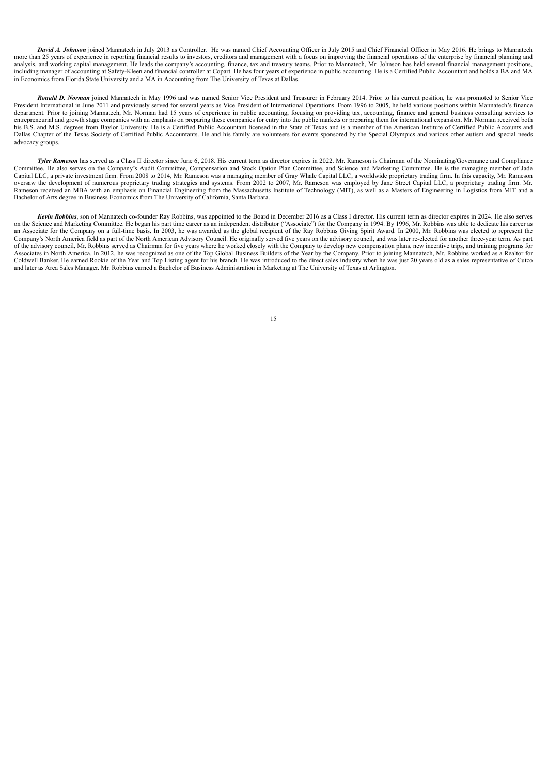*David A. Johnson* joined Mannatech in July 2013 as Controller. He was named Chief Accounting Officer in July 2015 and Chief Financial Officer in May 2016. He brings to Mannatech more than 25 years of experience in reporting financial results to investors, creditors and management with a focus on improving the financial operations of the enterprise by financial planning and analysis, and working capital management. He leads the company's accounting, finance, tax and treasury teams. Prior to Mannatech, Mr. Johnson has held several financial management positions, including manager of accounting at Safety-Kleen and financial controller at Copart. He has four years of experience in public accounting. He is a Certified Public Accountant and holds a BA and MA in Economics from Florida State University and a MA in Accounting from The University of Texas at Dallas.

*Ronald D. Norman* joined Mannatech in May 1996 and was named Senior Vice President and Treasurer in February 2014. Prior to his current position, he was promoted to Senior Vice President International in June 2011 and previously served for several years as Vice President of International Operations. From 1996 to 2005, he held various positions within Mannatech's finance department. Prior to joining Mannatech, Mr. Norman had 15 years of experience in public accounting, focusing on providing tax, accounting, finance and general business consulting services to entrepreneurial and growth stage companies with an emphasis on preparing these companies for entry into the public markets or preparing them for international expansion. Mr. Norman received both his B.S. and M.S. degrees from Baylor University. He is a Certified Public Accountant licensed in the State of Texas and is a member of the American Institute of Certified Public Accounts and Dallas Chapter of the Texas Society of Certified Public Accountants. He and his family are volunteers for events sponsored by the Special Olympics and various other autism and special needs advocacy groups.

*Tyler Rameson* has served as a Class II director since June 6, 2018. His current term as director expires in 2022. Mr. Rameson is Chairman of the Nominating/Governance and Compliance Committee. He also serves on the Company's Audit Committee, Compensation and Stock Option Plan Committee, and Science and Marketing Committee. He is the managing member of Jade Capital LLC, a private investment firm. From 2008 to 2014, Mr. Rameson was a managing member of Gray Whale Capital LLC, a worldwide proprietary trading firm. In this capacity, Mr. Rameson oversaw the development of numerous proprietary trading strategies and systems. From 2002 to 2007, Mr. Rameson was employed by Jane Street Capital LLC, a proprietary trading firm. Mr. Rameson received an MBA with an emphasis on Financial Engineering from the Massachusetts Institute of Technology (MIT), as well as a Masters of Engineering in Logistics from MIT and a Bachelor of Arts degree in Business Economics from The University of California, Santa Barbara.

*Kevin Robbins*, son of Mannatech co-founder Ray Robbins, was appointed to the Board in December 2016 as a Class I director. His current term as director expires in 2024. He also serves on the Science and Marketing Committee. He began his part time career as an independent distributor ("Associate") for the Company in 1994. By 1996, Mr. Robbins was able to dedicate his career as an Associate for the Company on a full-time basis. In 2003, he was awarded as the global recipient of the Ray Robbins Giving Spirit Award. In 2000, Mr. Robbins was elected to represent the Company's North America field as part of the North American Advisory Council. He originally served five years on the advisory council, and was later re-elected for another three-year term. As part of the advisory council, Mr. Robbins served as Chairman for five years where he worked closely with the Company to develop new compensation plans, new incentive trips, and training programs for Associates in North America. In 2012, he was recognized as one of the Top Global Business Builders of the Year by the Company. Prior to joining Mannatech, Mr. Robbins worked as a Realtor for Coldwell Banker. He earned Rookie of the Year and Top Listing agent for his branch. He was introduced to the direct sales industry when he was just 20 years old as a sales representative of Cutco and later as Area Sales Manager. Mr. Robbins earned a Bachelor of Business Administration in Marketing at The University of Texas at Arlington.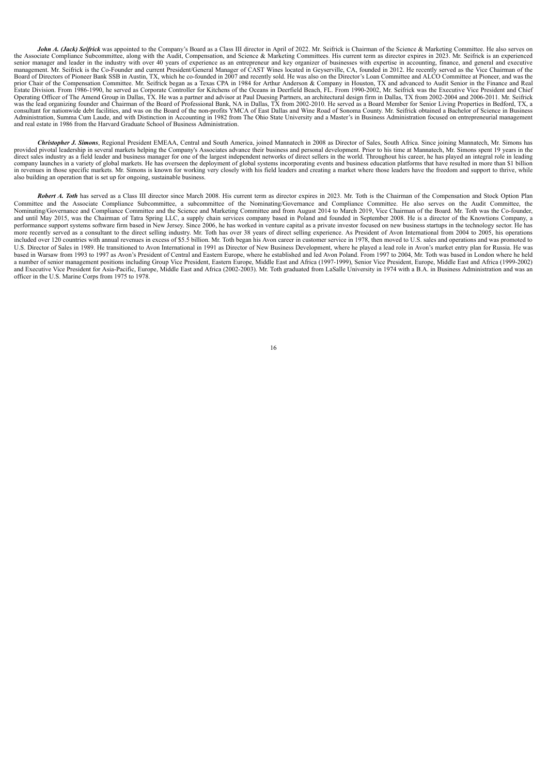*John A. (Jack) Seifrick* was appointed to the Company's Board as a Class III director in April of 2022. Mr. Seifrick is Chairman of the Science & Marketing Committee. He also serves on the Associate Compliance Subcommittee, along with the Audit, Compensation, and Science & Marketing Committees. His current term as director expires in 2023. Mr. Seifrick is an experienced senior manager and leader in the industry with over 40 years of experience as an entrepreneur and key organizer of businesses with expertise in accounting, finance, and general and executive management. Mr. Seifrick is the Board of Directors of Pioneer Bank SSB in Austin, TX, which he co-founded in 2007 and recently sold. He was also on the Director's Loan Committee and ALCO Committee at Pioneer, and was the prior Chair of the Compensation Committee. Mr. Seifrick began as a Texas CPA in 1984 for Arthur Anderson & Company in Houston, TX and advanced to Audit Senior in the Finance and Real Estate Division. From 1986-1990, he served as Corporate Controller for Kitchens of the Oceans in Deerfield Beach, FL. From 1990-2002, Mr. Seifrick was the Executive Vice President and Chief Operating Officer of The Amend Group in Dallas, TX. He was a partner and advisor at Paul Duesing Partners, an architectural design firm in Dallas, TX from 2002-2004 and 2006-2011. Mr. Seifrick was the lead organizing found Administration, Summa Cum Laude, and with Distinction in Accounting in 1982 from The Ohio State University and a Master's in Business Administration focused on entrepreneurial management<br>and real estate in 1986 from the Ha

*Christopher J. Simons*, Regional President EMEAA, Central and South America, joined Mannatech in 2008 as Director of Sales, South Africa. Since joining Mannatech, Mr. Simons has provided pivotal leadership in several markets helping the Company's Associates advance their business and personal development. Prior to his time at Mannatech, Mr. Simons spent 19 years in the direct sales industry as a field leader and business manager for one of the largest independent networks of direct sellers in the world. Throughout his career, he has played an integral role in leading company launches in a variety of global markets. He has overseen the deployment of global systems incorporating events and business education platforms that have resulted in more than \$1 billion in revenues in those specific markets. Mr. Simons is known for working very closely with his field leaders and creating a market where those leaders have the freedom and support to thrive, while also building an operation that is set up for ongoing, sustainable business.

*Robert A. Toth* has served as a Class III director since March 2008. His current term as director expires in 2023. Mr. Toth is the Chairman of the Compensation and Stock Option Plan Committee and the Associate Compliance Subcommittee, a subcommittee of the Nominating/Governance and Compliance Committee. He also serves on the Audit Committee, the Nominating/Governance and Compliance Committee and the Science and Marketing Committee and from August 2014 to March 2019, Vice Chairman of the Board. Mr. Toth was the Co-founder, and until May 2015, was the Chairman of Tatra Spring LLC, a supply chain services company based in Poland and founded in September 2008. He is a director of the Knowtions Company, a<br>performance support systems software fir more recently served as a consultant to the direct selling industry. Mr. Toth has over 38 years of direct selling experience. As President of Avon International from 2004 to 2005, his operations included over 120 countries with annual revenues in excess of \$5.5 billion. Mr. Toth began his Avon career in customer service in 1978, then moved to U.S. sales and operations and was promoted to U.S. Director of Sales in 1989. He transitioned to Avon International in 1991 as Director of New Business Development, where he played a lead role in Avon's market entry plan for Russia. He was based in Warsaw from 1993 to 1997 as Avon's President of Central and Eastern Europe, where he established and led Avon Poland. From 1997 to 2004, Mr. Toth was based in London where he held a number of senior management positions including Group Vice President, Eastern Europe, Middle East and Africa (1997-1999), Senior Vice President, Europe, Middle East and Africa (1999-2002) and Executive Vice President for Asia-Pacific, Europe, Middle East and Africa (2002-2003). Mr. Toth graduated from LaSalle University in 1974 with a B.A. in Business Administration and was an officer in the U.S. Marine Corps from 1975 to 1978.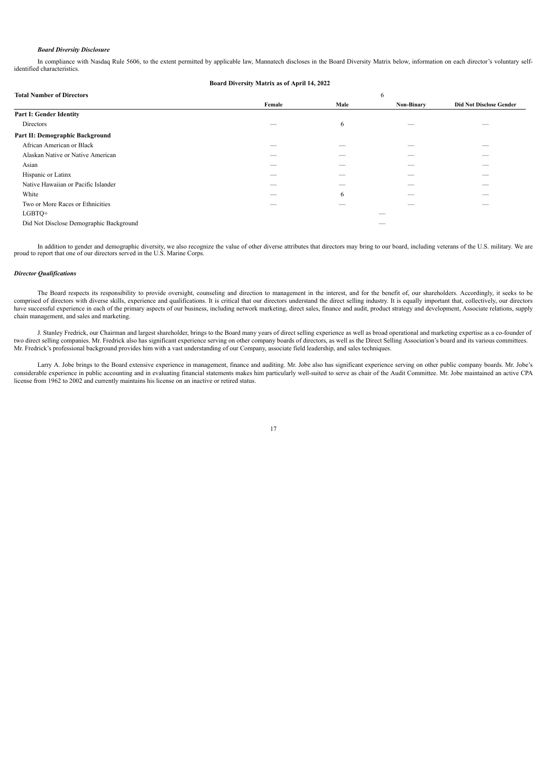# *Board Diversity Disclosure*

In compliance with Nasdaq Rule 5606, to the extent permitted by applicable law, Mannatech discloses in the Board Diversity Matrix below, information on each director's voluntary selfidentified characteristics.

**Board Diversity Matrix as of April 14, 2022**

| <b>Total Number of Directors</b><br>6   |        |      |                   |                                |  |  |  |
|-----------------------------------------|--------|------|-------------------|--------------------------------|--|--|--|
|                                         | Female | Male | <b>Non-Binary</b> | <b>Did Not Disclose Gender</b> |  |  |  |
| Part I: Gender Identity                 |        |      |                   |                                |  |  |  |
| Directors                               |        | 6    |                   |                                |  |  |  |
| Part II: Demographic Background         |        |      |                   |                                |  |  |  |
| African American or Black               | --     | _    | --                |                                |  |  |  |
| Alaskan Native or Native American       |        |      |                   |                                |  |  |  |
| Asian                                   |        |      |                   |                                |  |  |  |
| Hispanic or Latinx                      |        |      |                   |                                |  |  |  |
| Native Hawaiian or Pacific Islander     |        |      |                   |                                |  |  |  |
| White                                   |        | 6    |                   |                                |  |  |  |
| Two or More Races or Ethnicities        |        |      |                   |                                |  |  |  |
| LGBTQ+                                  |        |      |                   |                                |  |  |  |
| Did Not Disclose Demographic Background |        |      |                   |                                |  |  |  |

In addition to gender and demographic diversity, we also recognize the value of other diverse attributes that directors may bring to our board, including veterans of the U.S. military. We are proud to report that one of ou

### <span id="page-19-0"></span>*Director Qualifications*

The Board respects its responsibility to provide oversight, counseling and direction to management in the interest, and for the benefit of, our shareholders. Accordingly, it seeks to be comprised of directors with diverse skills, experience and qualifications. It is critical that our directors understand the direct selling industry. It is equally important that, collectively, our directors have successful experience in each of the primary aspects of our business, including network marketing, direct sales, finance and audit, product strategy and development, Associate relations, supply chain management, and sales and marketing.

J. Stanley Fredrick, our Chairman and largest shareholder, brings to the Board many years of direct selling experience as well as broad operational and marketing expertise as a co-founder of two direct selling companies. Mr. Fredrick also has significant experience serving on other company boards of directors, as well as the Direct Selling Association's board and its various committees. Mr. Fredrick's professional background provides him with a vast understanding of our Company, associate field leadership, and sales techniques.

Larry A. Jobe brings to the Board extensive experience in management, finance and auditing. Mr. Jobe also has significant experience serving on other public company boards. Mr. Jobe's considerable experience in public accounting and in evaluating financial statements makes him particularly well-suited to serve as chair of the Audit Committee. Mr. Jobe maintained an active CPA license from 1962 to 2002 and currently maintains his license on an inactive or retired status.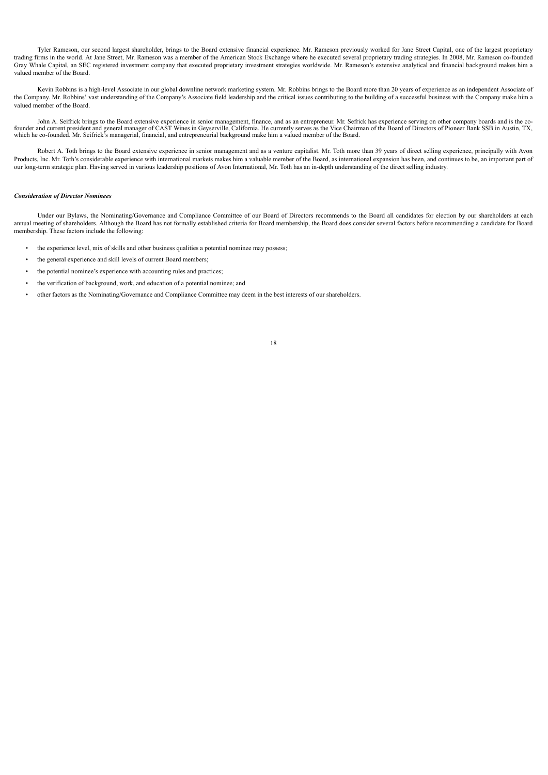Tyler Rameson, our second largest shareholder, brings to the Board extensive financial experience. Mr. Rameson previously worked for Jane Street Capital, one of the largest proprietary trading firms in the world. At Jane Street, Mr. Rameson was a member of the American Stock Exchange where he executed several proprietary trading strategies. In 2008, Mr. Rameson co-founded Gray Whale Capital, an SEC registered investment company that executed proprietary investment strategies worldwide. Mr. Rameson's extensive analytical and financial background makes him a valued member of the Board.

Kevin Robbins is a high-level Associate in our global downline network marketing system. Mr. Robbins brings to the Board more than 20 years of experience as an independent Associate of the Company. Mr. Robbins' vast understanding of the Company's Associate field leadership and the critical issues contributing to the building of a successful business with the Company make him a valued member of the Board.

John A. Seifrick brings to the Board extensive experience in senior management, finance, and as an entrepreneur. Mr. Sefrick has experience serving on other company boards and is the co-<br>founder and current president and g which he co-founded. Mr. Seifrick's managerial, financial, and entrepreneurial background make him a valued member of the Board.

Robert A. Toth brings to the Board extensive experience in senior management and as a venture capitalist. Mr. Toth more than 39 years of direct selling experience, principally with Avon Products, Inc. Mr. Toth's considerable experience with international markets makes him a valuable member of the Board, as international expansion has been, and continues to be, an important part of our long-term strategic plan. Having served in various leadership positions of Avon International, Mr. Toth has an in-depth understanding of the direct selling industry.

# <span id="page-20-0"></span>*Consideration of Director Nominees*

Under our Bylaws, the Nominating/Governance and Compliance Committee of our Board of Directors recommends to the Board all candidates for election by our shareholders at each annual meeting of shareholders. Although the Board has not formally established criteria for Board membership, the Board does consider several factors before recommending a candidate for Board membership. These factors include the following:

- the experience level, mix of skills and other business qualities a potential nominee may possess;
- the general experience and skill levels of current Board members:
- the potential nominee's experience with accounting rules and practices;
- the verification of background, work, and education of a potential nominee; and
- other factors as the Nominating/Governance and Compliance Committee may deem in the best interests of our shareholders.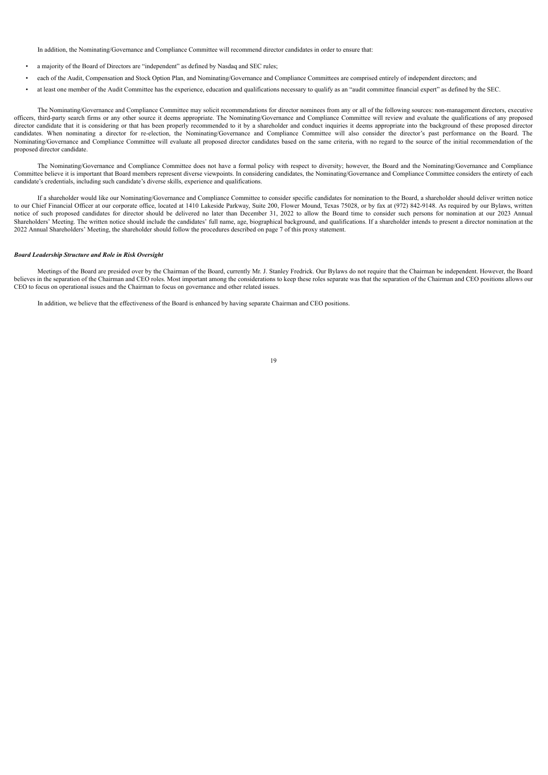In addition, the Nominating/Governance and Compliance Committee will recommend director candidates in order to ensure that:

- a majority of the Board of Directors are "independent" as defined by Nasdaq and SEC rules;
- each of the Audit, Compensation and Stock Option Plan, and Nominating/Governance and Compliance Committees are comprised entirely of independent directors; and
- at least one member of the Audit Committee has the experience, education and qualifications necessary to qualify as an "audit committee financial expert" as defined by the SEC.

The Nominating/Governance and Compliance Committee may solicit recommendations for director nominees from any or all of the following sources: non-management directors, executive officers, third-party search firms or any other source it deems appropriate. The Nominating/Governance and Compliance Committee will review and evaluate the qualifications of any proposed director candidate that it is considering or that has been properly recommended to it by a shareholder and conduct inquiries it deems appropriate into the background of these proposed director candidates. When nominating a director for re-election, the Nominating/Governance and Compliance Committee will also consider the director's past performance on the Board. The Nominating/Governance and Compliance Committee will evaluate all proposed director candidates based on the same criteria, with no regard to the source of the initial recommendation of the proposed director candidate.

The Nominating/Governance and Compliance Committee does not have a formal policy with respect to diversity; however, the Board and the Nominating/Governance and Compliance Committee believe it is important that Board members represent diverse viewpoints. In considering candidates, the Nominating/Governance and Compliance Committee considers the entirety of each candidate's credentials, including such candidate's diverse skills, experience and qualifications.

If a shareholder would like our Nominating/Governance and Compliance Committee to consider specific candidates for nomination to the Board, a shareholder should deliver written notice to our Chief Financial Officer at our corporate office, located at 1410 Lakeside Parkway, Suite 200, Flower Mound, Texas 75028, or by fax at (972) 842-9148. As required by our Bylaws, written notice of such proposed candidates for director should be delivered no later than December 31, 2022 to allow the Board time to consider such persons for nomination at our 2023 Annual Shareholders' Meeting. The written notice should include the candidates' full name, age, biographical background, and qualifications. If a shareholder intends to present a director nomination at the 2022 Annual Shareholders' Meeting, the shareholder should follow the procedures described on page [7](#page-9-1) of this proxy statement.

### <span id="page-21-0"></span>*Board Leadership Structure and Role in Risk Oversight*

Meetings of the Board are presided over by the Chairman of the Board, currently Mr. J. Stanley Fredrick. Our Bylaws do not require that the Chairman be independent. However, the Board believes in the separation of the Chairman and CEO roles. Most important among the considerations to keep these roles separate was that the separation of the Chairman and CEO positions allows our CEO to focus on operational issues and the Chairman to focus on governance and other related issues.

In addition, we believe that the effectiveness of the Board is enhanced by having separate Chairman and CEO positions.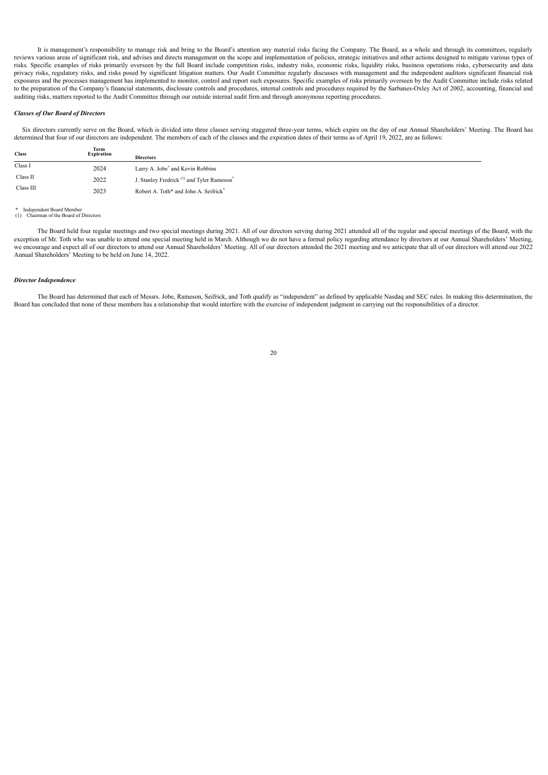It is management's responsibility to manage risk and bring to the Board's attention any material risks facing the Company. The Board, as a whole and through its committees, regularly reviews various areas of significant risk, and advises and directs management on the scope and implementation of policies, strategic initiatives and other actions designed to mitigate various types of risks. Specific examples of risks primarily overseen by the full Board include competition risks, industry risks, economic risks, liquidity risks, business operations risks, cybersecurity and data privacy risks, regulatory risks, and risks posed by significant litigation matters. Our Audit Committee regularly discusses with management and the independent auditors significant financial risk exposures and the processes management has implemented to monitor, control and report such exposures. Specific examples of risks primarily overseen by the Audit Committee include risks related to the preparation of the Company's financial statements, disclosure controls and procedures, internal controls and procedures required by the Sarbanes-Oxley Act of 2002, accounting, financial and auditing risks, matters reported to the Audit Committee through our outside internal audit firm and through anonymous reporting procedures.

### <span id="page-22-0"></span>*Classes of Our Board of Directors*

Six directors currently serve on the Board, which is divided into three classes serving staggered three-year terms, which expire on the day of our Annual Shareholders' Meeting. The Board has determined that four of our directors are independent. The members of each of the classes and the expiration dates of their terms as of April 19, 2022, are as follows:

| <b>Class</b> | Term<br><b>Expiration</b> | <b>Directors</b>                                                  |
|--------------|---------------------------|-------------------------------------------------------------------|
| Class I      | 2024                      | Larry A. Jobe <sup>*</sup> and Kevin Robbins                      |
| Class II     | 2022                      | J. Stanley Fredrick <sup>(1)</sup> and Tyler Rameson <sup>*</sup> |
| Class III    | 2023                      | Robert A. Toth* and John A. Seifrick*                             |

### Independent Board Member (1) Chairman of the Board of Directors

The Board held four regular meetings and two special meetings during 2021. All of our directors serving during 2021 attended all of the regular and special meetings of the Board, with the exception of Mr. Toth who was unable to attend one special meeting held in March. Although we do not have a formal policy regarding attendance by directors at our Annual Shareholders' Meeting, we encourage and expect all of our directors to attend our Annual Shareholders' Meeting. All of our directors attended the 2021 meeting and we anticipate that all of our directors will attend our 2022 Annual Shareholders' Meeting to be held on June 14, 2022.

# <span id="page-22-1"></span>*Director Independence*

<span id="page-22-2"></span>The Board has determined that each of Messrs. Jobe, Rameson, Seifrick, and Toth qualify as "independent" as defined by applicable Nasdaq and SEC rules. In making this determination, the Board has concluded that none of these members has a relationship that would interfere with the exercise of independent judgment in carrying out the responsibilities of a director.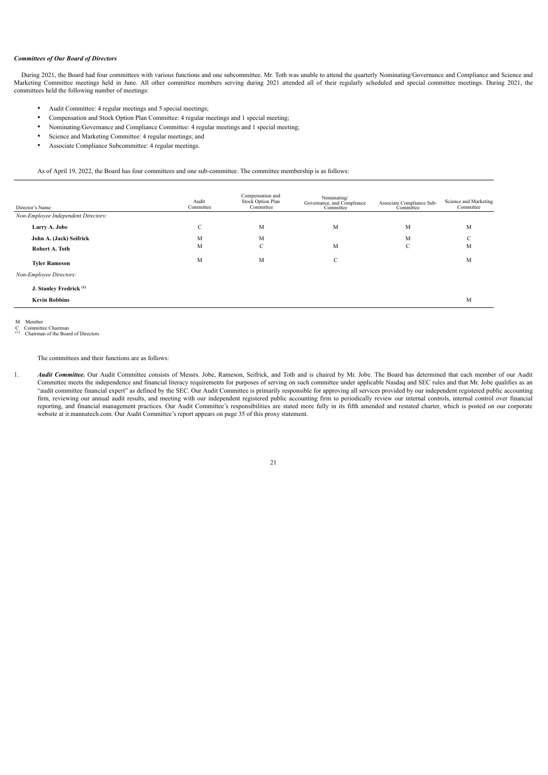# *Committees of Our Board of Directors*

During 2021, the Board had four committees with various functions and one subcommittee. Mr. Toth was unable to attend the quarterly Nominating/Governance and Compliance and Science and Marketing Committee meetings held in June. All other committee members serving during 2021 attended all of their regularly scheduled and special committee meetings. During 2021, the committees held the following number of meetings:

- Audit Committee: 4 regular meetings and 5 special meetings;
- Compensation and Stock Option Plan Committee: 4 regular meetings and 1 special meeting;
- Nominating/Governance and Compliance Committee: 4 regular meetings and 1 special meeting;
- Science and Marketing Committee: 4 regular meetings; and
- Associate Compliance Subcommittee: 4 regular meetings.

As of April 19, 2022, the Board has four committees and one sub-committee. The committee membership is as follows:

| Director's Name                     | Audit<br>Committee | Compensation and<br>Stock Option Plan<br>Committee | Nominating/<br>Governance, and Compliance<br>Committee | Associate Compliance Sub-<br>Committee | Science and Marketing<br>Committee |
|-------------------------------------|--------------------|----------------------------------------------------|--------------------------------------------------------|----------------------------------------|------------------------------------|
| Non-Employee Independent Directors: |                    |                                                    |                                                        |                                        |                                    |
| Larry A. Jobe                       | C                  | M                                                  | M                                                      | M                                      | M                                  |
| John A. (Jack) Seifrick             | M                  | M                                                  |                                                        | M                                      | $\mathcal{C}$                      |
| Robert A. Toth                      | M                  | C                                                  | M                                                      | C                                      | M                                  |
| <b>Tyler Rameson</b>                | M                  | M                                                  | C                                                      |                                        | M                                  |
| Non-Employee Directors:             |                    |                                                    |                                                        |                                        |                                    |
| J. Stanley Fredrick <sup>(1)</sup>  |                    |                                                    |                                                        |                                        |                                    |
| <b>Kevin Robbins</b>                |                    |                                                    |                                                        |                                        | M                                  |

M Member

C Committee Chairman<br>
(1) Chairman of the Board of Directors

The committees and their functions are as follows:

1. **Audit Committee.** Our Audit Committee consists of Messrs. Jobe, Rameson, Seifrick, and Toth and is chaired by Mr. Jobe. The Board has determined that each member of our Audit Committee meets the independence and financial literacy requirements for purposes of serving on such committee under applicable Nasdaq and SEC rules and that Mr. Jobe qualifies as an "audit committee financial expert" as defined by the SEC. Our Audit Committee is primarily responsible for approving all services provided by our independent registered public accounting firm, reviewing our annual audit results, and meeting with our independent registered public accounting firm to periodically review our internal controls, internal control over financial reporting, and financial management practices. Our Audit Committee's responsibilities are stated more fully in its fifth amended and restated charter, which is posted on our corporate website at ir.mannatech.com. Our Audit Committee's report appears on page 35 of this proxy statement.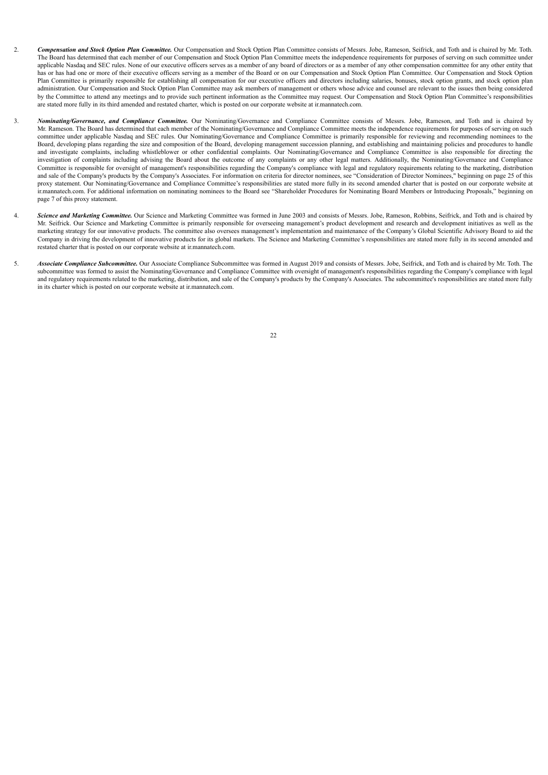- 2. *Compensation and Stock Option Plan Committee.* Our Compensation and Stock Option Plan Committee consists of Messrs. Jobe, Rameson, Seifrick, and Toth and is chaired by Mr. Toth. The Board has determined that each member of our Compensation and Stock Option Plan Committee meets the independence requirements for purposes of serving on such committee under applicable Nasdaq and SEC rules. None of our executive officers serves as a member of any board of directors or as a member of any other compensation committee for any other entity that has or has had one or more of their executive officers serving as a member of the Board or on our Compensation and Stock Option Plan Committee. Our Compensation and Stock Option Plan Committee is primarily responsible for establishing all compensation for our executive officers and directors including salaries, bonuses, stock option grants, and stock option plan administration. Our Compensation and Stock Option Plan Committee may ask members of management or others whose advice and counsel are relevant to the issues then being considered by the Committee to attend any meetings and to provide such pertinent information as the Committee may request. Our Compensation and Stock Option Plan Committee's responsibilities are stated more fully in its third amended and restated charter, which is posted on our corporate website at ir.mannatech.com.
- 3. *Nominating/Governance, and Compliance Committee.* Our Nominating/Governance and Compliance Committee consists of Messrs. Jobe, Rameson, and Toth and is chaired by Mr. Rameson. The Board has determined that each member of the Nominating/Governance and Compliance Committee meets the independence requirements for purposes of serving on such committee under applicable Nasdaq and SEC rules. Our Nominating/Governance and Compliance Committee is primarily responsible for reviewing and recommending nominees to the Board, developing plans regarding the size and composition of the Board, developing management succession planning, and establishing and maintaining policies and procedures to handle and investigate complaints, including whistleblower or other confidential complaints. Our Nominating/Governance and Compliance Committee is also responsible for directing the investigation of complaints including advising the Board about the outcome of any complaints or any other legal matters. Additionally, the Nominating/Governance and Compliance Committee is responsible for oversight of management's responsibilities regarding the Company's compliance with legal and regulatory requirements relating to the marketing, distribution and sale of the Company's products by the Company's Associates. For information on criteria for director nominees, see "Consideration of Director Nominees," beginning on page 25 of this proxy statement. Our Nominating/Governance and Compliance Committee's responsibilities are stated more fully in its second amended charter that is posted on our corporate website at ir.mannatech.com. For additional information on nominating nominees to the Board see "Shareholder Procedures for Nominating Board Members or Introducing Proposals," beginning on page 7 of this proxy statement.
- 4. **Science and Marketing Committee.** Our Science and Marketing Committee was formed in June 2003 and consists of Messrs. Jobe, Rameson, Robbins, Seifrick, and Toth and is chaired by Mr. Seifrick. Our Science and Marketing Committee is primarily responsible for overseeing management's product development and research and development initiatives as well as the marketing strategy for our innovative products. The committee also oversees management's implementation and maintenance of the Company's Global Scientific Advisory Board to aid the Company in driving the development of innovative products for its global markets. The Science and Marketing Committee's responsibilities are stated more fully in its second amended and restated charter that is posted on our corporate website at ir.mannatech.com.
- <span id="page-24-0"></span>5. *Associate Compliance Subcommittee.* Our Associate Compliance Subcommittee was formed in August 2019 and consists of Messrs. Jobe, Seifrick, and Toth and is chaired by Mr. Toth. The subcommittee was formed to assist the Nominating/Governance and Compliance Committee with oversight of management's responsibilities regarding the Company's compliance with legal and regulatory requirements related to the marketing, distribution, and sale of the Company's products by the Company's Associates. The subcommittee's responsibilities are stated more fully in its charter which is posted on our corporate website at ir.mannatech.com.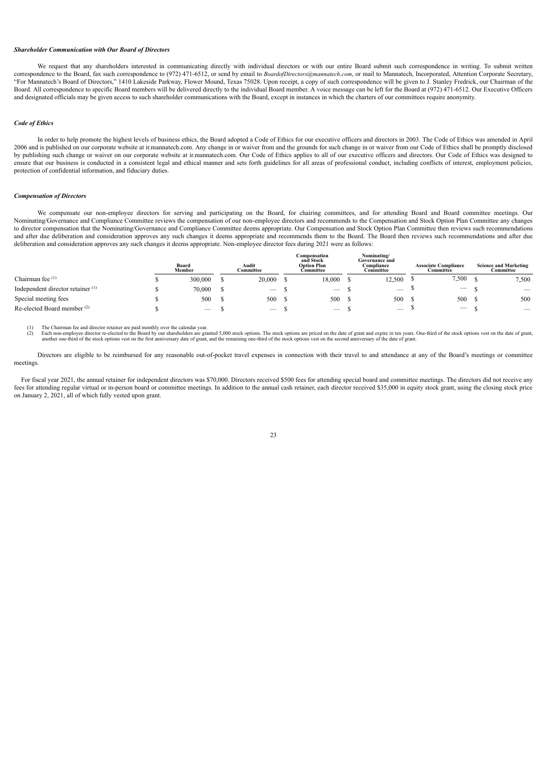# *Shareholder Communication with Our Board of Directors*

We request that any shareholders interested in communicating directly with individual directors or with our entire Board submit such correspondence in writing. To submit written correspondence to the Board, fax such correspondence to (972) 471-6512, or send by email to *BoardofDirectors@mannatech.com*, or mail to Mannatech, Incorporated, Attention Corporate Secretary, "For Mannatech's Board of Directors," 1410 Lakeside Parkway, Flower Mound, Texas 75028. Upon receipt, a copy of such correspondence will be given to J. Stanley Fredrick, our Chairman of the Board. All correspondence to specific Board members will be delivered directly to the individual Board member. A voice message can be left for the Board at (972) 471-6512. Our Executive Officers and designated officials may be given access to such shareholder communications with the Board, except in instances in which the charters of our committees require anonymity.

### <span id="page-25-0"></span>*Code of Ethics*

In order to help promote the highest levels of business ethics, the Board adopted a Code of Ethics for our executive officers and directors in 2003. The Code of Ethics was amended in April 2006 and is published on our corporate website at ir.mannatech.com. Any change in or waiver from and the grounds for such change in or waiver from our Code of Ethics shall be promptly disclosed by publishing such change or waiver on our corporate website at ir.mannatech.com. Our Code of Ethics applies to all of our executive officers and directors. Our Code of Ethics was designed to ensure that our business is conducted in a consistent legal and ethical manner and sets forth guidelines for all areas of professional conduct, including conflicts of interest, employment policies, protection of confidential information, and fiduciary duties.

# <span id="page-25-1"></span>*Compensation of Directors*

We compensate our non-employee directors for serving and participating on the Board, for chairing committees, and for attending Board and Board committee meetings. Our Nominating/Governance and Compliance Committee reviews the compensation of our non-employee directors and recommends to the Compensation and Stock Option Plan Committee any changes to director compensation that the Nominating/Governance and Compliance Committee deems appropriate. Our Compensation and Stock Option Plan Committee then reviews such recommendations and after due deliberation and consideration approves any such changes it deems appropriate and recommends them to the Board. The Board then reviews such recommendations and after due deliberation and consideration approves any such changes it deems appropriate. Non-employee director fees during 2021 were as follows:

|                                              | Board<br>Member          | Audit<br>Committee       | Compensation<br>and Stock<br><b>Option Plan</b><br>Committee | Nominating/<br>Governance and<br>Compliance<br>Committee | <b>Associate Compliance</b><br>Committee | <b>Science and Marketing</b><br>Committee |
|----------------------------------------------|--------------------------|--------------------------|--------------------------------------------------------------|----------------------------------------------------------|------------------------------------------|-------------------------------------------|
| Chairman fee (1)                             | 300,000                  | 20,000                   | 18,000                                                       | 12,500                                                   | 7,500                                    | 7,500                                     |
| Independent director retainer <sup>(1)</sup> | 70,000                   | $\overline{\phantom{a}}$ | $\hspace{0.1mm}-\hspace{0.1mm}$                              | $\overline{\phantom{a}}$                                 | $\qquad \qquad \longleftarrow$           | $\hspace{0.1mm}-\hspace{0.1mm}$           |
| Special meeting fees                         | 500                      | 500                      | 500                                                          | 500                                                      | 500                                      | 500                                       |
| Re-elected Board member (2)                  | $\overline{\phantom{a}}$ | $\overline{\phantom{a}}$ | $\overline{\phantom{a}}$                                     | $\overline{\phantom{a}}$                                 | $\qquad \qquad \longleftarrow$           | $\overline{\phantom{a}}$                  |

(1) The Chairman fee and director retainer are paid monthly over the calendar year.

(2) Each non-employee director re-elected to the Board by our shareholders are granted 5,000 stock options. The stock options are priced on the date of grant and expire in ten years. One-third of the stock options vest on

Directors are eligible to be reimbursed for any reasonable out-of-pocket travel expenses in connection with their travel to and attendance at any of the Board's meetings or committee meetings.

For fiscal year 2021, the annual retainer for independent directors was \$70,000. Directors received \$500 fees for attending special board and committee meetings. The directors did not receive any fees for attending regular virtual or in-person board or committee meetings. In addition to the annual cash retainer, each director received \$35,000 in equity stock grant, using the closing stock price on January 2, 2021, all of which fully vested upon grant.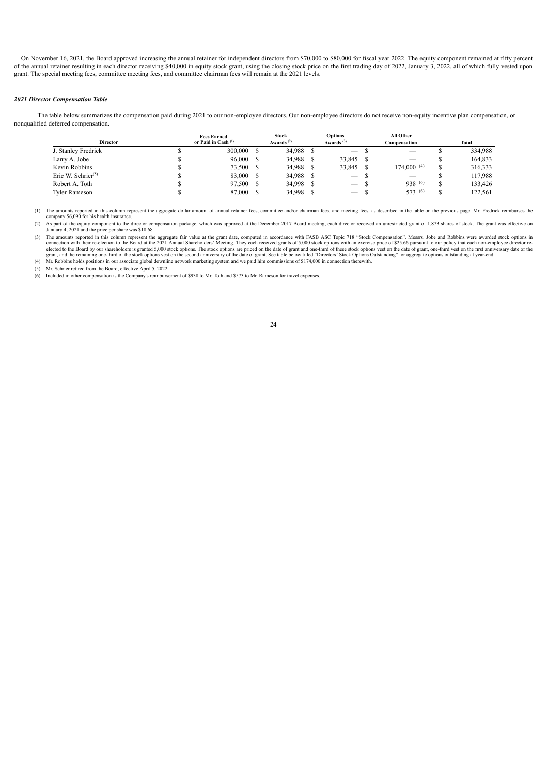On November 16, 2021, the Board approved increasing the annual retainer for independent directors from \$70,000 to \$80,000 for fiscal year 2022. The equity component remained at fifty percent of the annual retainer resulting in each director receiving \$40,000 in equity stock grant, using the closing stock price on the first trading day of 2022, January 3, 2022, all of which fully vested upon grant. The special meeting fees, committee meeting fees, and committee chairman fees will remain at the 2021 levels.

# <span id="page-26-0"></span>*2021 Director Compensation Table*

The table below summarizes the compensation paid during 2021 to our non-employee directors. Our non-employee directors do not receive non-equity incentive plan compensation, or nonqualified deferred compensation.

| <b>Director</b>       | <b>Fees Earned</b><br>or Paid in Cash (1) |  | <b>Stock</b><br>Awards $^{(2)}$ | <b>Options</b><br>Awards $^{(3)}$ | All Other<br>Compensation       |            | Total |         |
|-----------------------|-------------------------------------------|--|---------------------------------|-----------------------------------|---------------------------------|------------|-------|---------|
| J. Stanley Fredrick   | 300,000                                   |  | 34,988                          |                                   | $\hspace{0.1mm}-\hspace{0.1mm}$ |            |       | 334,988 |
| Larry A. Jobe         | 96,000                                    |  | 34,988                          |                                   | 33,845                          |            |       | 164,833 |
| Kevin Robbins         | 73.500                                    |  | 34,988                          |                                   | 33.845                          | 174,000(4) | S     | 316,333 |
| Eric W. Schrier $(5)$ | 83.000                                    |  | 34,988                          |                                   | $\hspace{0.1mm}-\hspace{0.1mm}$ |            |       | 117,988 |
| Robert A. Toth        | 97.500                                    |  | 34,998                          |                                   | $\hspace{0.1mm}-\hspace{0.1mm}$ | 938 (6)    |       | 133.426 |
| Tvler Rameson         | 87,000                                    |  | 34,998                          |                                   | $\overline{\phantom{0}}$        | 573 (6)    |       | 122,561 |

(1) The amounts reported in this column represent the aggregate dollar amount of annual retainer fees, committee and/or chairman fees, and meeting fees, as described in the table on the previous page. Mr. Fredrick reimburs

(2) As part of the equity component to the director compensation package, which was approved at the December 2017 Board meeting, each director received an unrestricted grant of 1,873 shares of stock. The grant was effectiv

3) The amounts reported in this column represent the aggregate fair value at the grant date, computed in accordance with FASB ASC Topic 718 "Stock Compensation". Messrs. Jobe and Robbins were awarded stock options in conce grant, and the remaining one-third of the stock options vest on the second anniversary of the date of grant. See table below titled "Directors' Stock Options Outstanding" for aggregate options outstanding at year-end. (4) Mr. Robbins holds positions in our associate global downline network marketing system and we paid him commissions of \$174,000 in connection therewith.

(5) Mr. Schrier retired from the Board, effective April 5, 2022.

<span id="page-26-1"></span>(6) Included in other compensation is the Company's reimbursement of \$938 to Mr. Toth and \$573 to Mr. Rameson for travel expenses.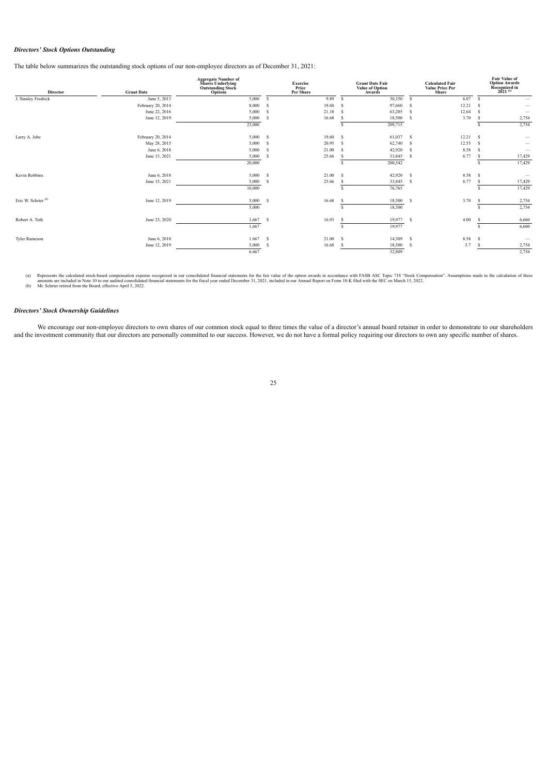# *Directors' Stock Options Outstanding*

The table below summarizes the outstanding stock options of our non-employee directors as of December 31, 2021:

| Director                       | <b>Grant Date</b> | <b>Aggregate Number of</b><br><b>Shares Underlying</b><br><b>Outstanding Stock</b><br><b>Options</b> |        | <b>Exercise</b><br>Price<br>Per Share |    | <b>Grant Date Fair</b><br><b>Value of Option</b><br>Awards |    | <b>Calculated Fair</b><br><b>Value Price Per</b><br><b>Share</b> |      | <b>Fair Value of</b><br><b>Option Awards</b><br>Recognized in<br>$2021^{(a)}$ |
|--------------------------------|-------------------|------------------------------------------------------------------------------------------------------|--------|---------------------------------------|----|------------------------------------------------------------|----|------------------------------------------------------------------|------|-------------------------------------------------------------------------------|
| J. Stanley Fredrick            | June 5, 2013      | 5,000                                                                                                | -S     | 9.89                                  | s  | 30,350                                                     | -S | 6.07                                                             | -S   |                                                                               |
|                                | February 20, 2014 | 8,000                                                                                                | -S     | 19.60                                 | s  | 97,660                                                     | -S | 12.21                                                            | - S  |                                                                               |
|                                | June 22, 2016     | 5,000                                                                                                | - S    | 21.18                                 | -S | 63,205                                                     | -S | 12.64                                                            | -S   |                                                                               |
|                                | June 12, 2019     | 5,000                                                                                                | -S     | 16.68                                 | s. | 18,500                                                     | -S | 3.70                                                             | - \$ | 2,754                                                                         |
|                                |                   | 23,000                                                                                               |        |                                       | s  | 209,715                                                    |    |                                                                  | s    | 2,754                                                                         |
| Larry A. Jobe                  | February 20, 2014 | 5,000 S                                                                                              |        | 19.60                                 | -S | 61,037 \$                                                  |    | 12.21 S                                                          |      |                                                                               |
|                                | May 28, 2015      | 5,000                                                                                                | - S    | 20.95                                 | s  | 62,740                                                     | -S | 12.55                                                            | - S  |                                                                               |
|                                | June 6, 2018      | 5,000                                                                                                | - S    | 21.00                                 | s  | 42,920                                                     | -S | 8.58                                                             | -S   | $\hspace{0.1mm}-\hspace{0.1mm}$                                               |
|                                | June 15, 2021     | 5,000                                                                                                | -S     | 25.66                                 | s  | 33,845                                                     | -S | 6.77                                                             | -S   | 17,429                                                                        |
|                                |                   | 20,000                                                                                               |        |                                       |    | 200,542                                                    |    |                                                                  | s    | 17,429                                                                        |
| Kevin Robbins                  | June 6, 2018      | 5,000                                                                                                | - S    | 21.00                                 | s  | 42,920                                                     | -S | 8.58                                                             | -S   | $\hspace{0.1mm}-\hspace{0.1mm}$                                               |
|                                | June 15, 2021     | 5,000                                                                                                | -S     | 25.66                                 | s  | 33,845                                                     | -S | 6.77                                                             | -S   | 17,429                                                                        |
|                                |                   | 10,000                                                                                               |        |                                       |    | 76,765                                                     |    |                                                                  |      | 17,429                                                                        |
| Eric W. Schrier <sup>(b)</sup> | June 12, 2019     | 5,000                                                                                                | - S    | 16.68                                 | s  | 18,500                                                     | -S | 3.70                                                             | -S   | 2,754                                                                         |
|                                |                   | 5,000                                                                                                |        |                                       |    | 18,500                                                     |    |                                                                  |      | 2,754                                                                         |
| Robert A. Toth                 | June 23, 2020     | 1,667                                                                                                | - S    | 16.93                                 | s  | 19,977                                                     | -S | 4.00                                                             | -S   | 6,660                                                                         |
|                                |                   | 1,667                                                                                                |        |                                       |    | 19,977                                                     |    |                                                                  |      | 6,660                                                                         |
| <b>Tyler Rameson</b>           | June 6, 2018      | 1.667                                                                                                | $\sim$ | 21.00                                 | s  | 14,309                                                     | -S | 8.58 \$                                                          |      |                                                                               |
|                                | June 12, 2019     | 5,000                                                                                                | -S     | 16.68                                 | s  | 18,500                                                     | s  | 3.7                                                              | -S   | 2,754                                                                         |
|                                |                   | 6.667                                                                                                |        |                                       |    | 32,809                                                     |    |                                                                  |      | 2,754                                                                         |

(a) Represents the calculated stock-based compensation expense recognized in our consolidated financial statements for the fair value of the option awards in accordance with FASB ASC Topic 718 "Stock Compensation". Assumpt

# <span id="page-27-0"></span>*Directors' Stock Ownership Guidelines*

<span id="page-27-1"></span>We encourage our non-employee directors to own shares of our common stock equal to three times the value of a director's annual board retainer in order to demonstrate to our shareholders and the investment community that our directors are personally committed to our success. However, we do not have a formal policy requiring our directors to own any specific number of shares.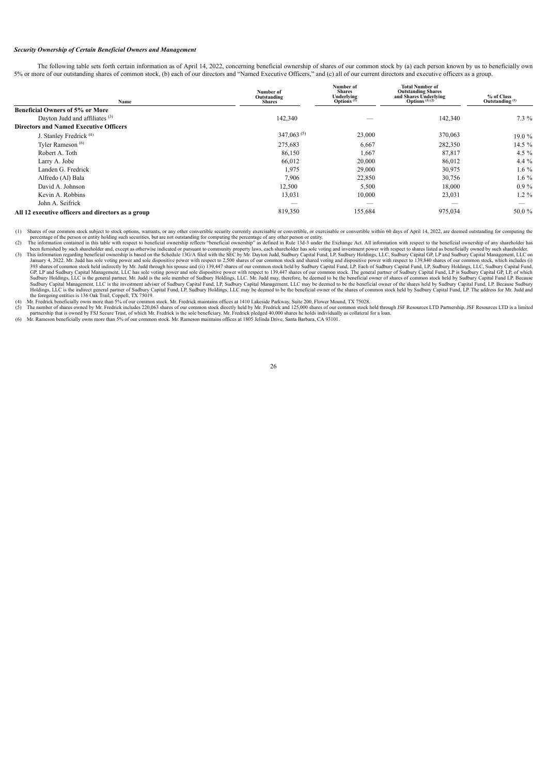# *Security Ownership of Certain Beneficial Owners and Management*

The following table sets forth certain information as of April 14, 2022, concerning beneficial ownership of shares of our common stock by (a) each person known by us to beneficially own 5% or more of our outstanding shares of common stock, (b) each of our directors and "Named Executive Officers," and (c) all of our current directors and executive officers as a group.

**Number of**

**Total Number of Outstanding Shares**

| Name                                               | Number of<br>Outstanding<br><b>Shares</b> | тчиност от<br><b>Shares</b><br>Underlying<br>Options <sup>(1)</sup> | тогат гуйнност от<br><b>Outstanding Shares</b><br>and Shares Underlying<br>Options $(1)$ $(2)$ | % of Class<br>Outstanding <sup>(1)</sup> |
|----------------------------------------------------|-------------------------------------------|---------------------------------------------------------------------|------------------------------------------------------------------------------------------------|------------------------------------------|
| <b>Beneficial Owners of 5% or More</b>             |                                           |                                                                     |                                                                                                |                                          |
| Dayton Judd and affiliates <sup>(3)</sup>          | 142,340                                   |                                                                     | 142,340                                                                                        | $7.3\%$                                  |
| <b>Directors and Named Executive Officers</b>      |                                           |                                                                     |                                                                                                |                                          |
| J. Stanley Fredrick <sup>(4)</sup>                 | $347,063^{(5)}$                           | 23,000                                                              | 370,063                                                                                        | 19.0%                                    |
| Tyler Rameson <sup>(6)</sup>                       | 275,683                                   | 6,667                                                               | 282,350                                                                                        | $14.5\%$                                 |
| Robert A. Toth                                     | 86,150                                    | 1,667                                                               | 87,817                                                                                         | 4.5 $%$                                  |
| Larry A. Jobe                                      | 66,012                                    | 20,000                                                              | 86,012                                                                                         | $4.4\%$                                  |
| Landen G. Fredrick                                 | 1,975                                     | 29,000                                                              | 30,975                                                                                         | $1.6\%$                                  |
| Alfredo (Al) Bala                                  | 7.906                                     | 22,850                                                              | 30,756                                                                                         | 1.6 %                                    |
| David A. Johnson                                   | 12,500                                    | 5,500                                                               | 18,000                                                                                         | $0.9\%$                                  |
| Kevin A. Robbins                                   | 13,031                                    | 10,000                                                              | 23,031                                                                                         | $1.2\%$                                  |
| John A. Seifrick                                   | —                                         | $\overline{\phantom{a}}$                                            | __                                                                                             |                                          |
| All 12 executive officers and directors as a group | 819,350                                   | 155,684                                                             | 975,034                                                                                        | 50.0%                                    |

(1) Shares of our common stock subject to stock options, warrants, or any other convertible security currently exercisable or convertible, or exercisable or convertible within 60 days of April 14, 2022, are deemed outstand

(3) This information regarding benefocial outership is based on the Schedule 13G/M in Captom Mad, Sudbury Capital Fund, LP, Sudbury Capital Fund, Department in some than Sudbury Capital Fund Sudbury Capital Fund Sudbury Ca

<span id="page-28-0"></span>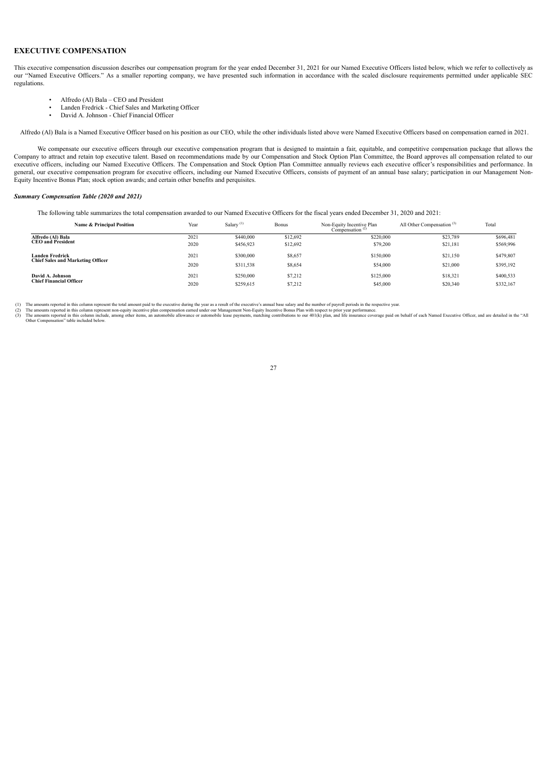# **EXECUTIVE COMPENSATION**

This executive compensation discussion describes our compensation program for the year ended December 31, 2021 for our Named Executive Officers listed below, which we refer to collectively as our "Named Executive Officers." As a smaller reporting company, we have presented such information in accordance with the scaled disclosure requirements permitted under applicable SEC regulations.

- Alfredo (Al) Bala CEO and President
- Landen Fredrick Chief Sales and Marketing Officer
- David A. Johnson Chief Financial Officer

Alfredo (Al) Bala is a Named Executive Officer based on his position as our CEO, while the other individuals listed above were Named Executive Officers based on compensation earned in 2021.

We compensate our executive officers through our executive compensation program that is designed to maintain a fair, equitable, and competitive compensation package that allows the Company to attract and retain top executive talent. Based on recommendations made by our Compensation and Stock Option Plan Committee, the Board approves all compensation related to our executive officers, including our Named Executive Officers. The Compensation and Stock Option Plan Committee annually reviews each executive officer's responsibilities and performance. In general, our executive compensation program for executive officers, including our Named Executive Officers, consists of payment of an annual base salary; participation in our Management Non-Equity Incentive Bonus Plan; stock option awards; and certain other benefits and perquisites.

# <span id="page-29-0"></span>*Summary Compensation Table (2020 and 2021)*

The following table summarizes the total compensation awarded to our Named Executive Officers for the fiscal years ended December 31, 2020 and 2021:

| Name & Principal Position                | Year | Salary <sup>(1)</sup> | <b>Bonus</b> | Non-Equity Incentive Plan<br>Compensation <sup>(2)</sup> | All Other Compensation <sup>(3)</sup> | Total     |
|------------------------------------------|------|-----------------------|--------------|----------------------------------------------------------|---------------------------------------|-----------|
| Alfredo (Al) Bala                        | 2021 | \$440,000             | \$12,692     | \$220.000                                                | \$23,789                              | \$696,481 |
| <b>CEO</b> and President                 | 2020 | \$456,923             | \$12,692     | \$79,200                                                 | \$21,181                              | \$569,996 |
| Landen Fredrick                          | 2021 | \$300,000             | \$8,657      | \$150,000                                                | \$21,150                              | \$479,807 |
| <b>Chief Sales and Marketing Officer</b> | 2020 | \$311,538             | \$8,654      | \$54,000                                                 | \$21,000                              | \$395,192 |
| David A. Johnson                         | 2021 | \$250,000             | \$7,212      | \$125,000                                                | \$18,321                              | \$400,533 |
| <b>Chief Financial Officer</b>           | 2020 | \$259,615             | \$7,212      | \$45,000                                                 | \$20,340                              | \$332,167 |

<span id="page-29-1"></span>(1) The amounts reported in this column represent the total amount paid to the executive during the year as result of the executive's annual base salary and the number of payroll periods in the respective year.<br>(2) The amo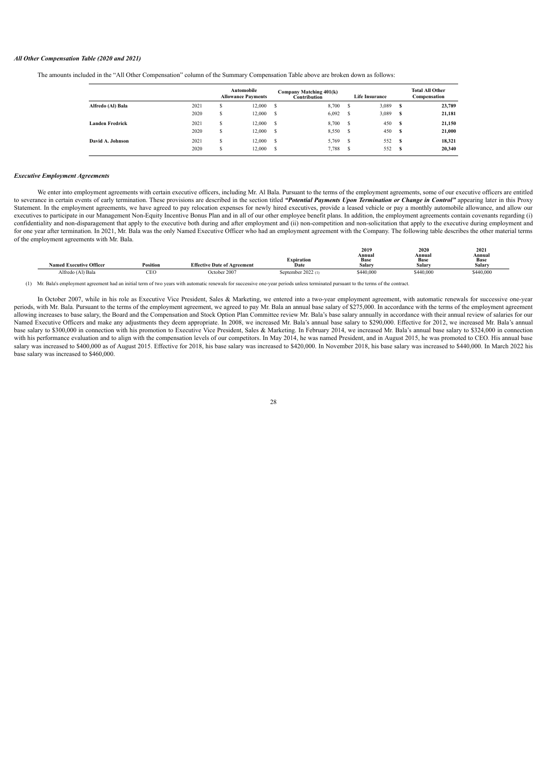### *All Other Compensation Table (2020 and 2021)*

The amounts included in the "All Other Compensation" column of the Summary Compensation Table above are broken down as follows:

|                   |      |        | Automobile<br><b>Allowance Payments</b> |    | Company Matching 401(k)<br>$\tilde{c}$ ontribution |   | <b>Life Insurance</b> |    | <b>Total All Other</b><br>Compensation |
|-------------------|------|--------|-----------------------------------------|----|----------------------------------------------------|---|-----------------------|----|----------------------------------------|
| Alfredo (Al) Bala | 2021 | ă      | 12.000                                  | S  | 8,700                                              | ь | 3,089                 | s  | 23,789                                 |
|                   | 2020 | S      | 12,000                                  | -S | 6,092                                              | S | 3,089                 | s  | 21,181                                 |
| Landen Fredrick   | 2021 | S      | 12.000                                  | -S | 8,700                                              | S | 450                   | s  | 21,150                                 |
|                   | 2020 | S      | 12.000                                  | -S | 8,550                                              | S | 450                   | s  | 21,000                                 |
| David A. Johnson  | 2021 | ¢<br>а | 12.000                                  | S  | 5,769                                              | S | 552                   | -8 | 18.321                                 |
|                   | 2020 | e<br>ъ | 12.000                                  | S  | 7,788                                              | S | 552                   | S  | 20.340                                 |

# <span id="page-30-0"></span>*Executive Employment Agreements*

We enter into employment agreements with certain executive officers, including Mr. Al Bala. Pursuant to the terms of the employment agreements, some of our executive officers are entitled to severance in certain events of early termination. These provisions are described in the section titled "Potential Payments Upon Termination or Change in Control" appearing later in this Proxy Statement. In the employment agreements, we have agreed to pay relocation expenses for newly hired executives, provide a leased vehicle or pay a monthly automobile allowance, and allow our executives to participate in our Management Non-Equity Incentive Bonus Plan and in all of our other employee benefit plans. In addition, the employment agreements contain covenants regarding (i) confidentiality and non-disparagement that apply to the executive both during and after employment and (ii) non-competition and non-solicitation that apply to the executive during employment and for one year after termination. In 2021, Mr. Bala was the only Named Executive Officer who had an employment agreement with the Company. The following table describes the other material terms of the employment agreements with Mr. Bala.

|                                |                    |                                    |                    | 2019           | 2020                  | 2021           |
|--------------------------------|--------------------|------------------------------------|--------------------|----------------|-----------------------|----------------|
|                                |                    |                                    | -<br>Expiration    | Annual<br>Base | Annual<br><b>Base</b> | Annual<br>Base |
| <b>Named Executive Officer</b> | Position           | <b>Effective Date of Agreement</b> | Date               | Salary         | Salary                | Salary         |
| Alfredo (Al) Bala              | $\alpha$ re<br>СEU | October 2007                       | September 2022 (1) | \$440,000      | \$440,000             | \$440,000      |

(1) Mr. Bala's employment agreement had an initial term of two years with automatic renewals for successive one-year periods unless terminated pursuant to the terms of the contract.

<span id="page-30-1"></span>In October 2007, while in his role as Executive Vice President, Sales & Marketing, we entered into a two-year employment agreement, with automatic renewals for successive one-year periods, with Mr. Bala. Pursuant to the terms of the employment agreement, we agreed to pay Mr. Bala an annual base salary of \$275,000. In accordance with the terms of the employment agreement allowing increases to base salary, the Board and the Compensation and Stock Option Plan Committee review Mr. Bala's base salary annually in accordance with their annual review of salaries for our Named Executive Officers and make any adjustments they deem appropriate. In 2008, we increased Mr. Bala's annual base salary to \$290,000. Effective for 2012, we increased Mr. Bala's annual base salary to \$300,000 in connection with his promotion to Executive Vice President, Sales & Marketing. In February 2014, we increased Mr. Bala's annual base salary to \$324,000 in connection with his performance evaluation and to align with the compensation levels of our competitors. In May 2014, he was named President, and in August 2015, he was promoted to CEO. His annual base salary was increased to \$400,000 as of August 2015. Effective for 2018, his base salary was increased to \$420,000. In November 2018, his base salary was increased to \$440,000. In March 2022 his base salary was increased to \$460,000.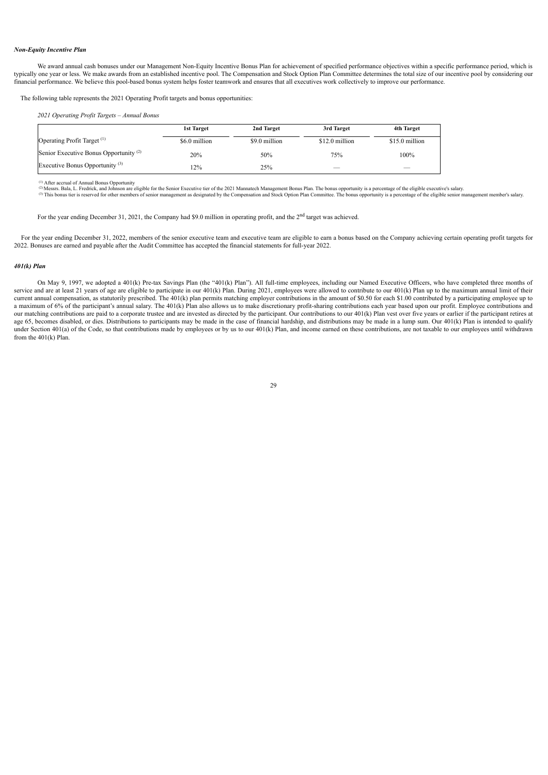# *Non-Equity Incentive Plan*

We award annual cash bonuses under our Management Non-Equity Incentive Bonus Plan for achievement of specified performance objectives within a specific performance period, which is typically one year or less. We make awards from an established incentive pool. The Compensation and Stock Option Plan Committee determines the total size of our incentive pool by considering our financial performance. We believe this pool-based bonus system helps foster teamwork and ensures that all executives work collectively to improve our performance.

The following table represents the 2021 Operating Profit targets and bonus opportunities:

*2021 Operating Profit Targets – Annual Bonus*

|                                                   | 1st Target    | 2nd Target    | 3rd Target     | 4th Target     |
|---------------------------------------------------|---------------|---------------|----------------|----------------|
| Operating Profit Target <sup>(1)</sup>            | \$6.0 million | \$9.0 million | \$12.0 million | \$15.0 million |
| Senior Executive Bonus Opportunity <sup>(2)</sup> | 20%           | 50%           | 75%            | 100%           |
| Executive Bonus Opportunity <sup>(3)</sup>        | 2%            | 25%           |                |                |

After accrual of Annual Bonus Opportunity<br>Messrs. Bala, L. Fredrick, and Johnson are eligible for the Senior Executive tier of the 2021 Mannatech Management Bonus Plan. The bonus opportunity is a percentage of the eligible (1) (2) (3)

For the year ending December 31, 2021, the Company had \$9.0 million in operating profit, and the  $2<sup>nd</sup>$  target was achieved.

For the year ending December 31, 2022, members of the senior executive team and executive team are eligible to earn a bonus based on the Company achieving certain operating profit targets for 2022. Bonuses are earned and payable after the Audit Committee has accepted the financial statements for full-year 2022.

# <span id="page-31-0"></span>*401(k) Plan*

<span id="page-31-1"></span>On May 9, 1997, we adopted a 401(k) Pre-tax Savings Plan (the "401(k) Plan"). All full-time employees, including our Named Executive Officers, who have completed three months of service and are at least 21 years of age are eligible to participate in our 401(k) Plan. During 2021, employees were allowed to contribute to our 401(k) Plan up to the maximum annual limit of their current annual compensation, as statutorily prescribed. The 401(k) plan permits matching employer contributions in the amount of \$0.50 for each \$1.00 contributed by a participating employee up to a maximum of 6% of the participant's annual salary. The 401(k) Plan also allows us to make discretionary profit-sharing contributions each year based upon our profit. Employee contributions and our matching contributions are paid to a corporate trustee and are invested as directed by the participant. Our contributions to our 401(k) Plan vest over five years or earlier if the participant retires at age 65, becomes disabled, or dies. Distributions to participants may be made in the case of financial hardship, and distributions may be made in a lump sum. Our 401(k) Plan is intended to qualify under Section 401(a) of the Code, so that contributions made by employees or by us to our 401(k) Plan, and income earned on these contributions, are not taxable to our employees until withdrawn from the 401(k) Plan.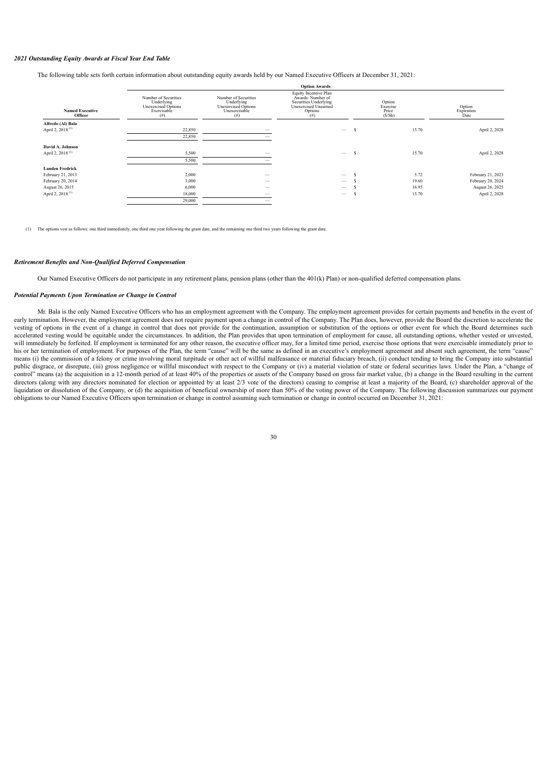### *2021 Outstanding Equity Awards at Fiscal Year End Table*

The following table sets forth certain information about outstanding equity awards held by our Named Executive Officers at December 31, 2021:

|                                   | <b>Option Awards</b>                                                             |                                                                                   |                                                                                                                    |   |                                       |                              |  |  |
|-----------------------------------|----------------------------------------------------------------------------------|-----------------------------------------------------------------------------------|--------------------------------------------------------------------------------------------------------------------|---|---------------------------------------|------------------------------|--|--|
| <b>Named Executive</b><br>Officer | Number of Securities<br>Underlying<br>Unexercised Options<br>Exercisable<br>(# ) | Number of Securities<br>Underlying<br>Unexercised Options<br>Unexercisable<br>(#) | Equity Incentive Plan<br>Awards: Number of<br>Securities Underlying<br>Unexercised Unearned<br>Options<br>$^{(#)}$ |   | Option<br>Exercise<br>Price<br>(S/Sh) | Option<br>Expiration<br>Date |  |  |
| Alfredo (Al) Bala                 |                                                                                  |                                                                                   |                                                                                                                    |   |                                       |                              |  |  |
| April 2, 2018 <sup>(1)</sup>      | 22,850                                                                           |                                                                                   | $\overline{\phantom{0}}$                                                                                           | S | 15.70                                 | April 2, 2028                |  |  |
|                                   | 22,850                                                                           |                                                                                   |                                                                                                                    |   |                                       |                              |  |  |
| David A. Johnson                  |                                                                                  |                                                                                   |                                                                                                                    |   |                                       |                              |  |  |
| April 2, 2018 <sup>(1)</sup>      | 5,500                                                                            | —                                                                                 | $\overline{\phantom{0}}$                                                                                           | s | 15.70                                 | April 2, 2028                |  |  |
|                                   | 5,500                                                                            |                                                                                   |                                                                                                                    |   |                                       |                              |  |  |
| <b>Landen Fredrick</b>            |                                                                                  |                                                                                   |                                                                                                                    |   |                                       |                              |  |  |
| February 21, 2013                 | 2,000                                                                            | –                                                                                 | $\overline{\phantom{0}}$                                                                                           |   | 5.72                                  | February 21, 2023            |  |  |
| February 20, 2014                 | 3,000                                                                            |                                                                                   | -                                                                                                                  |   | 19.60                                 | February 20, 2024            |  |  |
| August 26, 2015                   | 6,000                                                                            |                                                                                   |                                                                                                                    |   | 16.95                                 | August 26, 2025              |  |  |
| April 2, 2018 <sup>(1)</sup>      | 18,000                                                                           |                                                                                   | $\qquad \qquad$                                                                                                    |   | 15.70                                 | April 2, 2028                |  |  |
|                                   | 29,000                                                                           |                                                                                   |                                                                                                                    |   |                                       |                              |  |  |
|                                   |                                                                                  |                                                                                   |                                                                                                                    |   |                                       |                              |  |  |

(1) The options vest as follows: one third immediately, one third one year following the grant date, and the remaining one third two years following the grant date.

### <span id="page-32-0"></span>*Retirement Benefits and Non-Qualified Deferred Compensation*

Our Named Executive Officers do not participate in any retirement plans, pension plans (other than the 401(k) Plan) or non-qualified deferred compensation plans.

# <span id="page-32-1"></span>*Potential Payments Upon Termination or Change in Control*

Mr. Bala is the only Named Executive Officers who has an employment agreement with the Company. The employment agreement provides for certain payments and benefits in the event of early termination. However, the employment agreement does not require payment upon a change in control of the Company. The Plan does, however, provide the Board the discretion to accelerate the vesting of options in the event of a change in control that does not provide for the continuation, assumption or substitution of the options or other event for which the Board determines such accelerated vesting would be equitable under the circumstances. In addition, the Plan provides that upon termination of employment for cause, all outstanding options, whether vested or unvested, will immediately be forfeited. If employment is terminated for any other reason, the executive officer may, for a limited time period, exercise those options that were exercisable immediately prior to his or her termination of employment. For purposes of the Plan, the term "cause" will be the same as defined in an executive's employment agreement and absent such agreement, the term "cause" means (i) the commission of a felony or crime involving moral turpitude or other act of willful malfeasance or material fiduciary breach, (ii) conduct tending to bring the Company into substantial public disgrace, or disrepute, (iii) gross negligence or willful misconduct with respect to the Company or (iv) a material violation of state or federal securities laws. Under the Plan, a "change of control" means (a) the acquisition in a 12-month period of at least 40% of the properties or assets of the Company based on gross fair market value, (b) a change in the Board resulting in the current directors (along with any directors nominated for election or appointed by at least 2/3 vote of the directors) ceasing to comprise at least a majority of the Board, (c) shareholder approval of the liquidation or dissolution of the Company, or (d) the acquisition of beneficial ownership of more than 50% of the voting power of the Company. The following discussion summarizes our payment obligations to our Named Executive Officers upon termination or change in control assuming such termination or change in control occurred on December 31, 2021:

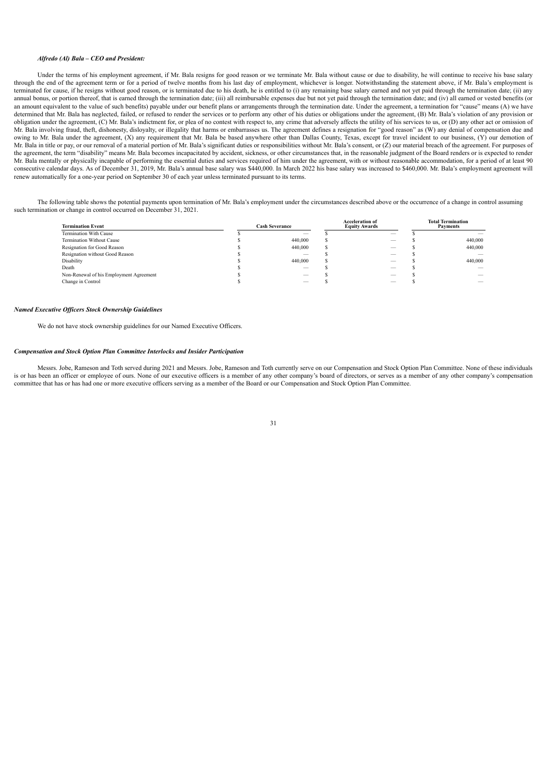### *Alfredo (Al) Bala – CEO and President:*

Under the terms of his employment agreement, if Mr. Bala resigns for good reason or we terminate Mr. Bala without cause or due to disability, he will continue to receive his base salary through the end of the agreement term or for a period of twelve months from his last day of employment, whichever is longer. Notwithstanding the statement above, if Mr. Bala's employment is terminated for cause, if he resigns without good reason, or is terminated due to his death, he is entitled to (i) any remaining base salary earned and not yet paid through the termination date; (ii) any annual bonus, or portion thereof, that is earned through the termination date; (iii) all reimbursable expenses due but not yet paid through the termination date; and (iv) all earned or vested benefits (or an amount equivalent to the value of such benefits) payable under our benefit plans or arrangements through the termination date. Under the agreement, a termination for "cause" means (A) we have determined that Mr. Bala has neglected, failed, or refused to render the services or to perform any other of his duties or obligations under the agreement, (B) Mr. Bala's violation of any provision or obligation under the agreement, (C) Mr. Bala's indictment for, or plea of no contest with respect to, any crime that adversely affects the utility of his services to us, or (D) any other act or omission of Mr. Bala involving fraud, theft, dishonesty, disloyalty, or illegality that harms or embarrasses us. The agreement defines a resignation for "good reason" as (W) any denial of compensation due and owing to Mr. Bala under the agreement, (X) any requirement that Mr. Bala be based anywhere other than Dallas County, Texas, except for travel incident to our business, (Y) our demotion of Mr. Bala in title or pay, or our removal of a material portion of Mr. Bala's significant duties or responsibilities without Mr. Bala's consent, or (Z) our material breach of the agreement. For purposes of the agreement, the term "disability" means Mr. Bala becomes incapacitated by accident, sickness, or other circumstances that, in the reasonable judgment of the Board renders or is expected to render Mr. Bala mentally or physically incapable of performing the essential duties and services required of him under the agreement, with or without reasonable accommodation, for a period of at least 90 consecutive calendar days. As of December 31, 2019, Mr. Bala's annual base salary was \$440,000. In March 2022 his base salary was increased to \$460,000. Mr. Bala's employment agreement will renew automatically for a one-year period on September 30 of each year unless terminated pursuant to its terms.

The following table shows the potential payments upon termination of Mr. Bala's employment under the circumstances described above or the occurrence of a change in control assuming such termination or change in control occurred on December 31, 2021.

| <b>Termination Event</b>                | <b>Cash Severance</b> |         | <b>Acceleration of</b><br><b>Equity Awards</b> |    |  | <b>Total Termination</b><br><b>Payments</b> |  |
|-----------------------------------------|-----------------------|---------|------------------------------------------------|----|--|---------------------------------------------|--|
| Termination With Cause                  |                       |         |                                                |    |  |                                             |  |
| Termination Without Cause               |                       | 440.000 |                                                | __ |  | 440,000                                     |  |
| Resignation for Good Reason             |                       | 440.000 |                                                |    |  | 440,000                                     |  |
| Resignation without Good Reason         |                       |         |                                                |    |  |                                             |  |
| Disability                              |                       | 440.000 |                                                |    |  | 440,000                                     |  |
| Death                                   |                       |         |                                                |    |  |                                             |  |
| Non-Renewal of his Employment Agreement |                       |         |                                                |    |  |                                             |  |
| Change in Control                       |                       |         |                                                |    |  |                                             |  |
|                                         |                       |         |                                                |    |  |                                             |  |

# <span id="page-33-0"></span>*Named Executive Of icers Stock Ownership Guidelines*

We do not have stock ownership guidelines for our Named Executive Officers.

# <span id="page-33-1"></span>*Compensation and Stock Option Plan Committee Interlocks and Insider Participation*

<span id="page-33-2"></span>Messrs. Jobe, Rameson and Toth served during 2021 and Messrs. Jobe, Rameson and Toth currently serve on our Compensation and Stock Option Plan Committee. None of these individuals is or has been an officer or employee of ours. None of our executive officers is a member of any other company's board of directors, or serves as a member of any other company's compensation committee that has or has had one or more executive officers serving as a member of the Board or our Compensation and Stock Option Plan Committee.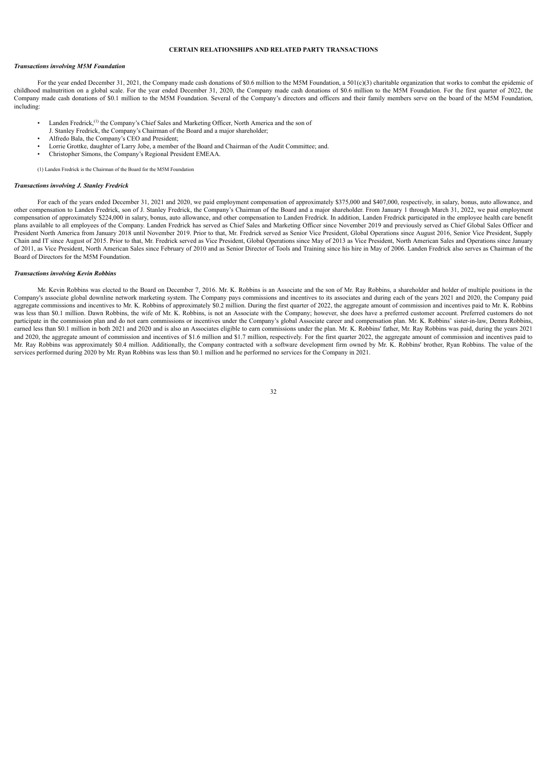# **CERTAIN RELATIONSHIPS AND RELATED PARTY TRANSACTIONS**

### *Transactions involving M5M Foundation*

For the year ended December 31, 2021, the Company made cash donations of \$0.6 million to the M5M Foundation, a 501(c)(3) charitable organization that works to combat the epidemic of childhood malnutrition on a global scale. For the year ended December 31, 2020, the Company made cash donations of \$0.6 million to the M5M Foundation. For the first quarter of 2022, the Company made cash donations of \$0.1 million to the M5M Foundation. Several of the Company's directors and officers and their family members serve on the board of the M5M Foundation, including:

- Landen Fredrick,<sup>(1)</sup> the Company's Chief Sales and Marketing Officer, North America and the son of
- J. Stanley Fredrick, the Company's Chairman of the Board and a major shareholder;
- Alfredo Bala, the Company's CEO and President;
- Lorrie Grottke, daughter of Larry Jobe, a member of the Board and Chairman of the Audit Committee; and.
- Christopher Simons, the Company's Regional President EMEAA.

(1) Landen Fredrick is the Chairman of the Board for the M5M Foundation

# *Transactions involving J. Stanley Fredrick*

For each of the years ended December 31, 2021 and 2020, we paid employment compensation of approximately \$375,000 and \$407,000, respectively, in salary, bonus, auto allowance, and other compensation to Landen Fredrick, son of J. Stanley Fredrick, the Company's Chairman of the Board and a major shareholder. From January 1 through March 31, 2022, we paid employment compensation of approximately \$224,000 in salary, bonus, auto allowance, and other compensation to Landen Fredrick. In addition, Landen Fredrick participated in the employee health care benefit plans available to all employees of the Company. Landen Fredrick has served as Chief Sales and Marketing Officer since November 2019 and previously served as Chief Global Sales Officer and President North America from January 2018 until November 2019. Prior to that, Mr. Fredrick served as Senior Vice President, Global Operations since August 2016, Senior Vice President, Supply Chain and IT since August of 2015. Prior to that, Mr. Fredrick served as Vice President, Global Operations since May of 2013 as Vice President, North American Sales and Operations since January of 2011, as Vice President, North American Sales since February of 2010 and as Senior Director of Tools and Training since his hire in May of 2006. Landen Fredrick also serves as Chairman of the Board of Directors for the M5M Foundation.

### *Transactions involving Kevin Robbins*

Mr. Kevin Robbins was elected to the Board on December 7, 2016. Mr. K. Robbins is an Associate and the son of Mr. Ray Robbins, a shareholder and holder of multiple positions in the Company's associate global downline network marketing system. The Company pays commissions and incentives to its associates and during each of the years 2021 and 2020, the Company paid aggregate commissions and incentives to Mr. K. Robbins of approximately \$0.2 million. During the first quarter of 2022, the aggregate amount of commission and incentives paid to Mr. K. Robbins was less than \$0.1 million. Dawn Robbins, the wife of Mr. K. Robbins, is not an Associate with the Company; however, she does have a preferred customer account. Preferred customers do not participate in the commission plan and do not earn commissions or incentives under the Company's global Associate career and compensation plan. Mr. K. Robbins' sister-in-law, Demra Robbins, earned less than \$0.1 million in both 2021 and 2020 and is also an Associates eligible to earn commissions under the plan. Mr. K. Robbins' father, Mr. Ray Robbins was paid, during the years 2021 and 2020, the aggregate amount of commission and incentives of \$1.6 million and \$1.7 million, respectively. For the first quarter 2022, the aggregate amount of commission and incentives paid to Mr. Ray Robbins was approximately \$0.4 million. Additionally, the Company contracted with a software development firm owned by Mr. K. Robbins' brother, Ryan Robbins. The value of the services performed during 2020 by Mr. Ryan Robbins was less than \$0.1 million and he performed no services for the Company in 2021.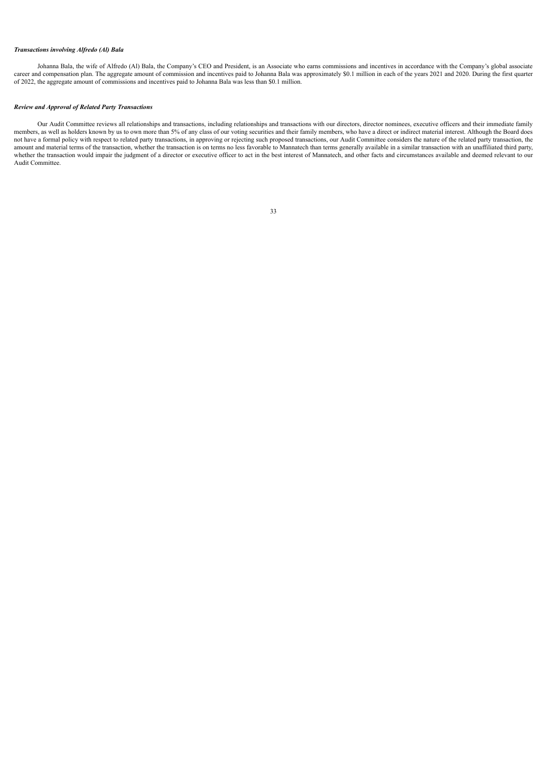# *Transactions involving Alfredo (Al) Bala*

Johanna Bala, the wife of Alfredo (Al) Bala, the Company's CEO and President, is an Associate who earns commissions and incentives in accordance with the Company's global associate career and compensation plan. The aggregate amount of commission and incentives paid to Johanna Bala was approximately \$0.1 million in each of the years 2021 and 2020. During the first quarter of 2022, the aggregate amount of commissions and incentives paid to Johanna Bala was less than \$0.1 million.

# *Review and Approval of Related Party Transactions*

<span id="page-35-0"></span>Our Audit Committee reviews all relationships and transactions, including relationships and transactions with our directors, director nominees, executive officers and their immediate family members, as well as holders known by us to own more than 5% of any class of our voting securities and their family members, who have a direct or indirect material interest. Although the Board does not have a formal policy with respect to related party transactions, in approving or rejecting such proposed transactions, our Audit Committee considers the nature of the related party transaction, the amount and material terms of the transaction, whether the transaction is on terms no less favorable to Mannatech than terms generally available in a similar transaction with an unaffiliated third party, whether the transaction would impair the judgment of a director or executive officer to act in the best interest of Mannatech, and other facts and circumstances available and deemed relevant to our Audit Committee.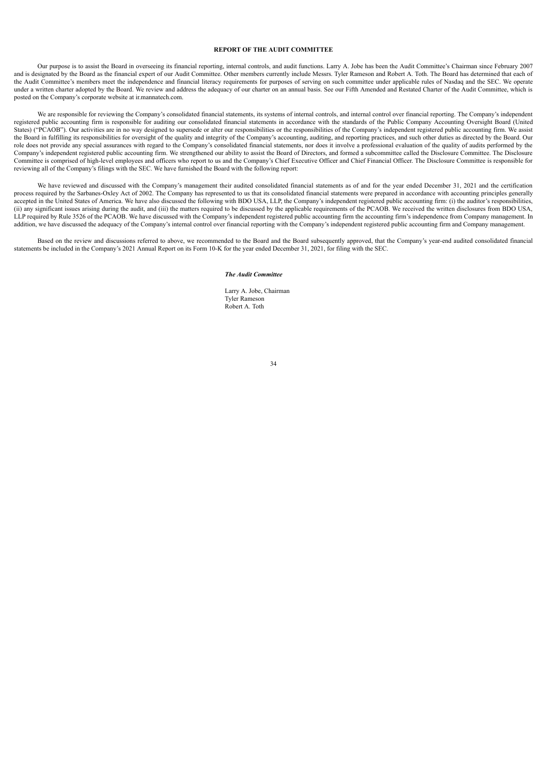# **REPORT OF THE AUDIT COMMITTEE**

Our purpose is to assist the Board in overseeing its financial reporting, internal controls, and audit functions. Larry A. Jobe has been the Audit Committee's Chairman since February 2007 and is designated by the Board as the financial expert of our Audit Committee. Other members currently include Messrs. Tyler Rameson and Robert A. Toth. The Board has determined that each of the Audit Committee's members meet the independence and financial literacy requirements for purposes of serving on such committee under applicable rules of Nasdaq and the SEC. We operate under a written charter adopted by the Board. We review and address the adequacy of our charter on an annual basis. See our Fifth Amended and Restated Charter of the Audit Committee, which is posted on the Company's corporate website at ir.mannatech.com.

We are responsible for reviewing the Company's consolidated financial statements, its systems of internal controls, and internal control over financial reporting. The Company's independent registered public accounting firm is responsible for auditing our consolidated financial statements in accordance with the standards of the Public Company Accounting Oversight Board (United States) ("PCAOB"). Our activities are in no way designed to supersede or alter our responsibilities or the responsibilities of the Company's independent registered public accounting firm. We assist the Board in fulfilling its responsibilities for oversight of the quality and integrity of the Company's accounting, auditing, and reporting practices, and such other duties as directed by the Board. Our role does not provide any special assurances with regard to the Company's consolidated financial statements, nor does it involve a professional evaluation of the quality of audits performed by the Company's independent registered public accounting firm. We strengthened our ability to assist the Board of Directors, and formed a subcommittee called the Disclosure Committee. The Disclosure Committee is comprised of high-level employees and officers who report to us and the Company's Chief Executive Officer and Chief Financial Officer. The Disclosure Committee is responsible for reviewing all of the Company's filings with the SEC. We have furnished the Board with the following report:

We have reviewed and discussed with the Company's management their audited consolidated financial statements as of and for the year ended December 31, 2021 and the certification process required by the Sarbanes-Oxley Act of 2002. The Company has represented to us that its consolidated financial statements were prepared in accordance with accounting principles generally accepted in the United States of America. We have also discussed the following with BDO USA, LLP, the Company's independent registered public accounting firm: (i) the auditor's responsibilities, (ii) any significant issues arising during the audit, and (iii) the matters required to be discussed by the applicable requirements of the PCAOB. We received the written disclosures from BDO USA, LLP required by Rule 3526 of the PCAOB. We have discussed with the Company's independent registered public accounting firm the accounting firm's independence from Company management. In addition, we have discussed the adequacy of the Company's internal control over financial reporting with the Company's independent registered public accounting firm and Company management.

<span id="page-36-0"></span>Based on the review and discussions referred to above, we recommended to the Board and the Board subsequently approved, that the Company's year-end audited consolidated financial statements be included in the Company's 2021 Annual Report on its Form 10-K for the year ended December 31, 2021, for filing with the SEC.

### *The Audit Committee*

Larry A. Jobe, Chairman Tyler Rameson Robert A. Toth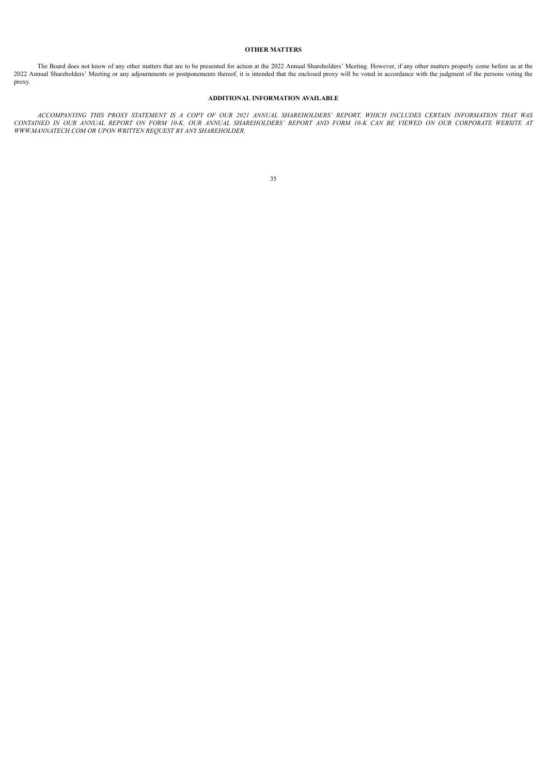# **OTHER MATTERS**

The Board does not know of any other matters that are to be presented for action at the 2022 Annual Shareholders' Meeting. However, if any other matters properly come before us at the 2022 Annual Shareholders' Meeting or any adjournments or postponements thereof, it is intended that the enclosed proxy will be voted in accordance with the judgment of the persons voting the proxy.

# **ADDITIONAL INFORMATION AVAILABLE**

<span id="page-37-1"></span><span id="page-37-0"></span>ACCOMPANYING THIS PROXY STATEMENT IS A COPY OF OUR 2021 ANNUAL SHAREHOLDERS' REPORT, WHICH INCLUDES CERTAIN INFORMATION THAT WAS CONTAINED IN OUR ANNUAL REPORT ON FORM 10-K. OUR ANNUAL SHAREHOLDERS' REPORT AND FORM 10-K CAN BE VIEWED ON OUR CORPORATE WEBSITE AT *WWW.MANNATECH.COM OR UPON WRITTEN REQUEST BY ANY SHAREHOLDER.*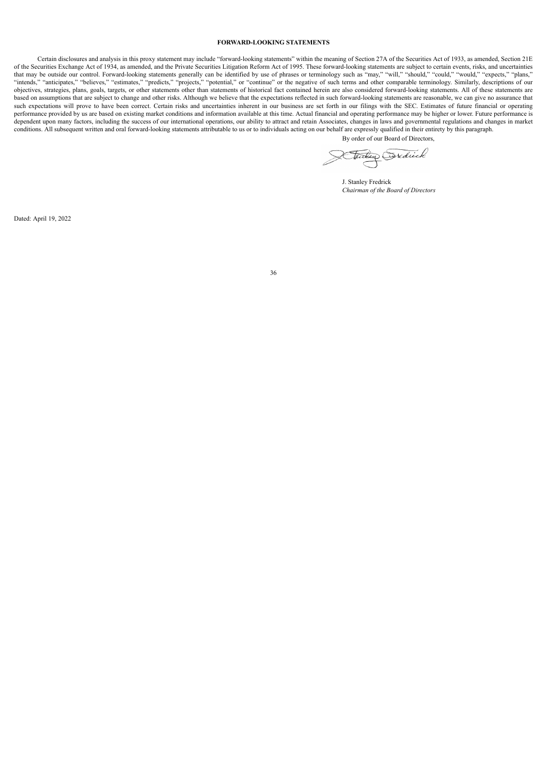# **FORWARD-LOOKING STATEMENTS**

Certain disclosures and analysis in this proxy statement may include "forward-looking statements" within the meaning of Section 27A of the Securities Act of 1933, as amended, Section 21E of the Securities Exchange Act of 1934, as amended, and the Private Securities Litigation Reform Act of 1995. These forward-looking statements are subject to certain events, risks, and uncertainties that may be outside our control. Forward-looking statements generally can be identified by use of phrases or terminology such as "may," "will," "should," "could," "would," "expects," "plans," "intends," "anticipates," "believes," "estimates," "predicts," "projects," "potential," or "continue" or the negative of such terms and other comparable terminology. Similarly, descriptions of our objectives, strategies, plans, goals, targets, or other statements other than statements of historical fact contained herein are also considered forward-looking statements. All of these statements are based on assumptions that are subject to change and other risks. Although we believe that the expectations reflected in such forward-looking statements are reasonable, we can give no assurance that such expectations will prove to have been correct. Certain risks and uncertainties inherent in our business are set forth in our filings with the SEC. Estimates of future financial or operating performance provided by us are based on existing market conditions and information available at this time. Actual financial and operating performance may be higher or lower. Future performance is dependent upon many factors, including the success of our international operations, our ability to attract and retain Associates, changes in laws and governmental regulations and changes in market conditions. All subsequent written and oral forward-looking statements attributable to us or to individuals acting on our behalf are expressly qualified in their entirety by this paragraph. By order of our Board of Directors,

Tailey Essedick

J. Stanley Fredrick *Chairman of the Board of Directors*

<span id="page-38-0"></span>Dated: April 19, 2022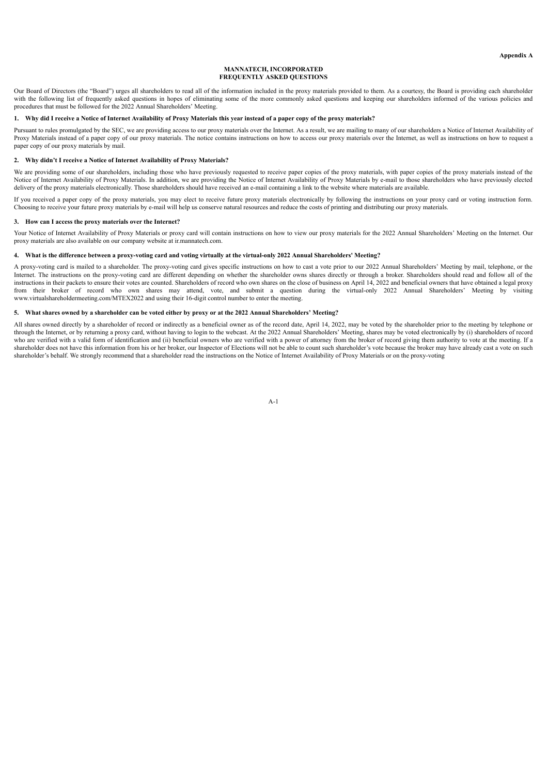# **MANNATECH, INCORPORATED FREQUENTLY ASKED QUESTIONS**

Our Board of Directors (the "Board") urges all shareholders to read all of the information included in the proxy materials provided to them. As a courtesy, the Board is providing each shareholder with the following list of frequently asked questions in hopes of eliminating some of the more commonly asked questions and keeping our shareholders informed of the various policies and procedures that must be followed for the 2022 Annual Shareholders' Meeting.

# 1. Why did I receive a Notice of Internet Availability of Proxy Materials this year instead of a paper copy of the proxy materials?

Pursuant to rules promulgated by the SEC, we are providing access to our proxy materials over the Internet. As a result, we are mailing to many of our shareholders a Notice of Internet Availability of Proxy Materials instead of a paper copy of our proxy materials. The notice contains instructions on how to access our proxy materials over the Internet, as well as instructions on how to request a paper copy of our proxy materials by mail.

## **2. Why didn't I receive a Notice of Internet Availability of Proxy Materials?**

We are providing some of our shareholders, including those who have previously requested to receive paper copies of the proxy materials, with paper copies of the proxy materials instead of the Notice of Internet Availability of Proxy Materials. In addition, we are providing the Notice of Internet Availability of Proxy Materials by e-mail to those shareholders who have previously elected delivery of the proxy materials electronically. Those shareholders should have received an e-mail containing a link to the website where materials are available.

If you received a paper copy of the proxy materials, you may elect to receive future proxy materials electronically by following the instructions on your proxy card or voting instruction form. Choosing to receive your future proxy materials by e-mail will help us conserve natural resources and reduce the costs of printing and distributing our proxy materials.

# **3. How can I access the proxy materials over the Internet?**

Your Notice of Internet Availability of Proxy Materials or proxy card will contain instructions on how to view our proxy materials for the 2022 Annual Shareholders' Meeting on the Internet. Our proxy materials are also available on our company website at ir.mannatech.com.

# 4. What is the difference between a proxy-voting card and voting virtually at the virtual-only 2022 Annual Shareholders' Meeting?

A proxy-voting card is mailed to a shareholder. The proxy-voting card gives specific instructions on how to cast a vote prior to our 2022 Annual Shareholders' Meeting by mail, telephone, or the Internet. The instructions on the proxy-voting card are different depending on whether the shareholder owns shares directly or through a broker. Shareholders should read and follow all of the instructions in their packets to ensure their votes are counted. Shareholders of record who own shares on the close of business on April 14, 2022 and beneficial owners that have obtained a legal proxy from their broker of record who own shares may attend, vote, and submit a question during the virtual-only 2022 Annual Shareholders' Meeting by visiting www.virtualshareholdermeeting.com/MTEX2022 and using their 16-digit control number to enter the meeting.

### 5. What shares owned by a shareholder can be voted either by proxy or at the 2022 Annual Shareholders' Meeting?

All shares owned directly by a shareholder of record or indirectly as a beneficial owner as of the record date, April 14, 2022, may be voted by the shareholder prior to the meeting by telephone or through the Internet, or by returning a proxy card, without having to login to the webcast. At the 2022 Annual Shareholders' Meeting, shares may be voted electronically by (i) shareholders of record who are verified with a valid form of identification and (ii) beneficial owners who are verified with a power of attorney from the broker of record giving them authority to vote at the meeting. If a shareholder does not have this information from his or her broker, our Inspector of Elections will not be able to count such shareholder's vote because the broker may have already cast a vote on such shareholder's behalf. We strongly recommend that a shareholder read the instructions on the Notice of Internet Availability of Proxy Materials or on the proxy-voting

 $\Delta - 1$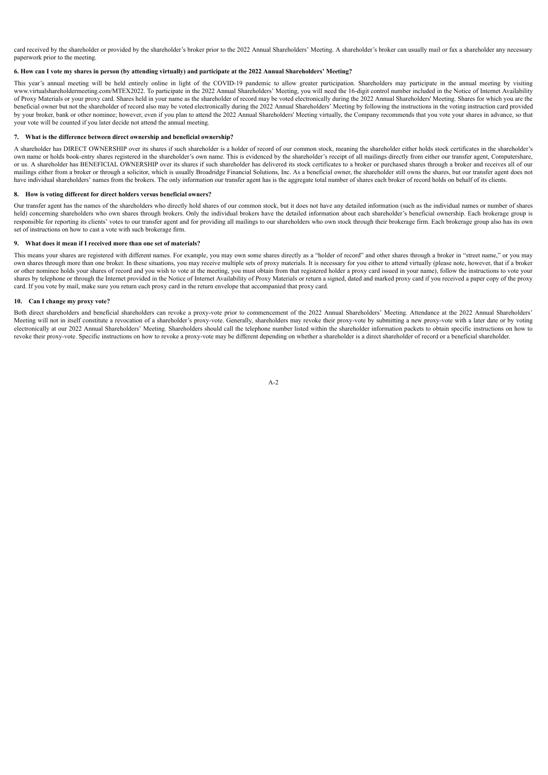card received by the shareholder or provided by the shareholder's broker prior to the 2022 Annual Shareholders' Meeting. A shareholder's broker can usually mail or fax a shareholder any necessary paperwork prior to the meeting.

# 6. How can I vote my shares in person (by attending virtually) and participate at the 2022 Annual Shareholders' Meeting?

This year's annual meeting will be held entirely online in light of the COVID-19 pandemic to allow greater participation. Shareholders may participate in the annual meeting by visiting ww.virtualshareholdermeeting.com/MTEX2022. To participate in the 2022 Annual Shareholders' Meeting, you will need the 16-digit control number included in the Notice of Internet Availability of Proxy Materials or your proxy card. Shares held in your name as the shareholder of record may be voted electronically during the 2022 Annual Shareholders' Meeting. Shares for which you are the beneficial owner but not the shareholder of record also may be voted electronically during the 2022 Annual Shareholders' Meeting by following the instructions in the voting instruction card provided by your broker, bank or other nominee; however, even if you plan to attend the 2022 Annual Shareholders' Meeting virtually, the Company recommends that you vote your shares in advance, so that your vote will be counted if you later decide not attend the annual meeting.

# **7. What is the difference between direct ownership and beneficial ownership?**

A shareholder has DIRECT OWNERSHIP over its shares if such shareholder is a holder of record of our common stock, meaning the shareholder either holds stock certificates in the shareholder's own name or holds book-entry shares registered in the shareholder's own name. This is evidenced by the shareholder's receipt of all mailings directly from either our transfer agent, Computershare, or us. A shareholder has BENEFICIAL OWNERSHIP over its shares if such shareholder has delivered its stock certificates to a broker or purchased shares through a broker and receives all of our mailings either from a broker or through a solicitor, which is usually Broadridge Financial Solutions, Inc. As a beneficial owner, the shareholder still owns the shares, but our transfer agent does not have individual shareholders' names from the brokers. The only information our transfer agent has is the aggregate total number of shares each broker of record holds on behalf of its clients.

### **8. How is voting different for direct holders versus beneficial owners?**

Our transfer agent has the names of the shareholders who directly hold shares of our common stock, but it does not have any detailed information (such as the individual names or number of shares held) concerning shareholders who own shares through brokers. Only the individual brokers have the detailed information about each shareholder's beneficial ownership. Each brokerage group is responsible for reporting its clients' votes to our transfer agent and for providing all mailings to our shareholders who own stock through their brokerage firm. Each brokerage group also has its own set of instructions on how to cast a vote with such brokerage firm.

### **9. What does it mean if I received more than one set of materials?**

This means your shares are registered with different names. For example, you may own some shares directly as a "holder of record" and other shares through a broker in "street name," or you may own shares through more than one broker. In these situations, you may receive multiple sets of proxy materials. It is necessary for you either to attend virtually (please note, however, that if a broker or other nominee holds your shares of record and you wish to vote at the meeting, you must obtain from that registered holder a proxy card issued in your name), follow the instructions to vote your shares by telephone or through the Internet provided in the Notice of Internet Availability of Proxy Materials or return a signed, dated and marked proxy card if you received a paper copy of the proxy card. If you vote by mail, make sure you return each proxy card in the return envelope that accompanied that proxy card.

# **10. Can I change my proxy vote?**

Both direct shareholders and beneficial shareholders can revoke a proxy-vote prior to commencement of the 2022 Annual Shareholders' Meeting. Attendance at the 2022 Annual Shareholders' Meeting will not in itself constitute a revocation of a shareholder's proxy-vote. Generally, shareholders may revoke their proxy-vote by submitting a new proxy-vote with a later date or by voting electronically at our 2022 Annual Shareholders' Meeting. Shareholders should call the telephone number listed within the shareholder information packets to obtain specific instructions on how to revoke their proxy-vote. Specific instructions on how to revoke a proxy-vote may be different depending on whether a shareholder is a direct shareholder of record or a beneficial shareholder.

A-2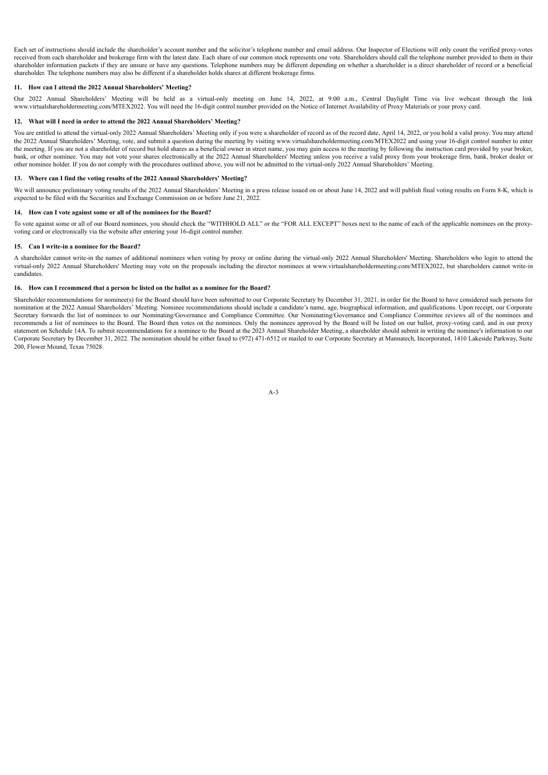Each set of instructions should include the shareholder's account number and the solicitor's telephone number and email address. Our Inspector of Elections will only count the verified proxy-votes received from each shareholder and brokerage firm with the latest date. Each share of our common stock represents one vote. Shareholders should call the telephone number provided to them in their shareholder information packets if they are unsure or have any questions. Telephone numbers may be different depending on whether a shareholder is a direct shareholder of record or a beneficial shareholder. The telephone numbers may also be different if a shareholder holds shares at different brokerage firms.

# **11. How can I attend the 2022 Annual Shareholders' Meeting?**

Our 2022 Annual Shareholders' Meeting will be held as a virtual-only meeting on June 14, 2022, at 9:00 a.m., Central Daylight Time via live webcast through the link www.virtualshareholdermeeting.com/MTEX2022. You will need the 16-digit control number provided on the Notice of Internet Availability of Proxy Materials or your proxy card.

### **12. What will I need in order to attend the 2022 Annual Shareholders' Meeting?**

You are entitled to attend the virtual-only 2022 Annual Shareholders' Meeting only if you were a shareholder of record as of the record date, April 14, 2022, or you hold a valid proxy. You may attend the 2022 Annual Shareholders' Meeting, vote, and submit a question during the meeting by visiting www.virtualshareholdermeeting.com/MTEX2022 and using your 16-digit control number to enter the meeting. If you are not a shareholder of record but hold shares as a beneficial owner in street name, you may gain access to the meeting by following the instruction card provided by your broker, bank, or other nominee. You may not vote your shares electronically at the 2022 Annual Shareholders' Meeting unless you receive a valid proxy from your brokerage firm, bank, broker dealer or other nominee holder. If you do not comply with the procedures outlined above, you will not be admitted to the virtual-only 2022 Annual Shareholders' Meeting.

# **13. Where can I find the voting results of the 2022 Annual Shareholders' Meeting?**

We will announce preliminary voting results of the 2022 Annual Shareholders' Meeting in a press release issued on or about June 14, 2022 and will publish final voting results on Form 8-K, which is expected to be filed with the Securities and Exchange Commission on or before June 21, 2022.

### **14. How can I vote against some or all of the nominees for the Board?**

To vote against some or all of our Board nominees, you should check the "WITHHOLD ALL" or the "FOR ALL EXCEPT" boxes next to the name of each of the applicable nominees on the proxyvoting card or electronically via the website after entering your 16-digit control number.

# **15. Can I write-in a nominee for the Board?**

A shareholder cannot write-in the names of additional nominees when voting by proxy or online during the virtual-only 2022 Annual Shareholders' Meeting. Shareholders who login to attend the virtual-only 2022 Annual Shareholders' Meeting may vote on the proposals including the director nominees at www.virtualshareholdermeeting.com/MTEX2022, but shareholders cannot write-in candidates.

# **16. How can I recommend that a person be listed on the ballot as a nominee for the Board?**

Shareholder recommendations for nominee(s) for the Board should have been submitted to our Corporate Secretary by December 31, 2021, in order for the Board to have considered such persons for nomination at the 2022 Annual Shareholders' Meeting. Nominee recommendations should include a candidate's name, age, biographical information, and qualifications. Upon receipt, our Corporate Secretary forwards the list of nominees to our Nominating/Governance and Compliance Committee. Our Nominating/Governance and Compliance Committee reviews all of the nominees and recommends a list of nominees to the Board. The Board then votes on the nominees. Only the nominees approved by the Board will be listed on our ballot, proxy-voting card, and in our proxy statement on Schedule 14A. To submit recommendations for a nominee to the Board at the 2023 Annual Shareholder Meeting, a shareholder should submit in writing the nominee's information to our Corporate Secretary by December 31, 2022. The nomination should be either faxed to (972) 471-6512 or mailed to our Corporate Secretary at Mannatech, Incorporated, 1410 Lakeside Parkway, Suite 200, Flower Mound, Texas 75028.

A-3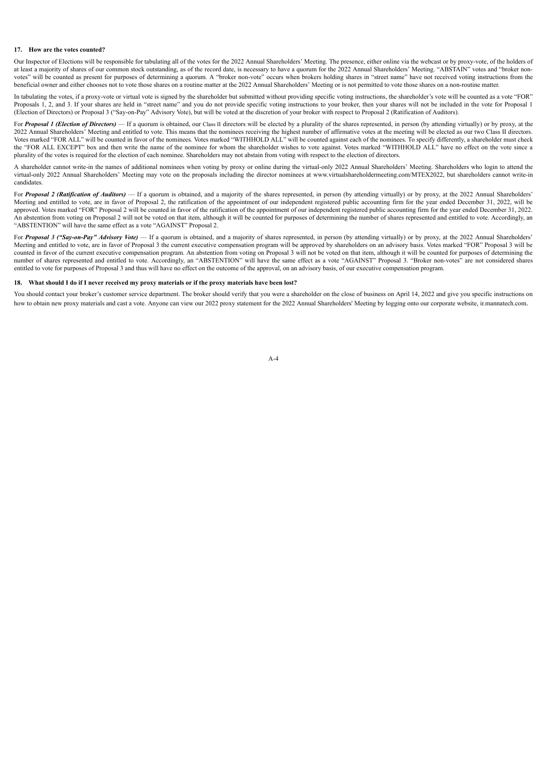# **17. How are the votes counted?**

Our Inspector of Elections will be responsible for tabulating all of the votes for the 2022 Annual Shareholders' Meeting. The presence, either online via the webcast or by proxy-vote, of the holders of at least a majority of shares of our common stock outstanding, as of the record date, is necessary to have a quorum for the 2022 Annual Shareholders' Meeting. "ABSTAIN" votes and "broker nonvotes" will be counted as present for purposes of determining a quorum. A "broker non-vote" occurs when brokers holding shares in "street name" have not received voting instructions from the beneficial owner and either chooses not to vote those shares on a routine matter at the 2022 Annual Shareholders' Meeting or is not permitted to vote those shares on a non-routine matter.

In tabulating the votes, if a proxy-vote or virtual vote is signed by the shareholder but submitted without providing specific voting instructions, the shareholder's vote will be counted as a vote "FOR" Proposals 1, 2, and 3. If your shares are held in "street name" and you do not provide specific voting instructions to your broker, then your shares will not be included in the vote for Proposal 1 (Election of Directors) or Proposal 3 ("Say-on-Pay" Advisory Vote), but will be voted at the discretion of your broker with respect to Proposal 2 (Ratification of Auditors).

For Proposal 1 (Election of Directors) - If a quorum is obtained, our Class II directors will be elected by a plurality of the shares represented, in person (by attending virtually) or by proxy, at the 2022 Annual Shareholders' Meeting and entitled to vote. This means that the nominees receiving the highest number of affirmative votes at the meeting will be elected as our two Class II directors. Votes marked "FOR ALL" will be counted in favor of the nominees. Votes marked "WITHHOLD ALL" will be counted against each of the nominees. To specify differently, a shareholder must check the "FOR ALL EXCEPT" box and then write the name of the nominee for whom the shareholder wishes to vote against. Votes marked "WITHHOLD ALL" have no effect on the vote since a plurality of the votes is required for the election of each nominee. Shareholders may not abstain from voting with respect to the election of directors.

A shareholder cannot write-in the names of additional nominees when voting by proxy or online during the virtual-only 2022 Annual Shareholders' Meeting. Shareholders who login to attend the virtual-only 2022 Annual Shareholders' Meeting may vote on the proposals including the director nominees at www.virtualshareholdermeeting.com/MTEX2022, but shareholders cannot write-in candidates.

For *Proposal 2 (Ratification of Auditors*) — If a quorum is obtained, and a majority of the shares represented, in person (by attending virtually) or by proxy, at the 2022 Annual Shareholders' Meeting and entitled to vote, are in favor of Proposal 2, the ratification of the appointment of our independent registered public accounting firm for the year ended December 31, 2022, will be approved. Votes marked "FOR" Proposal 2 will be counted in favor of the ratification of the appointment of our independent registered public accounting firm for the year ended December 31, 2022. An abstention from voting on Proposal 2 will not be voted on that item, although it will be counted for purposes of determining the number of shares represented and entitled to vote. Accordingly, an "ABSTENTION" will have the same effect as a vote "AGAINST" Proposal 2.

For Proposal 3 ("Say-on-Pay" Advisory Vote) — If a quorum is obtained, and a majority of shares represented, in person (by attending virtually) or by proxy, at the 2022 Annual Shareholders' Meeting and entitled to vote, are in favor of Proposal 3 the current executive compensation program will be approved by shareholders on an advisory basis. Votes marked "FOR" Proposal 3 will be counted in favor of the current executive compensation program. An abstention from voting on Proposal 3 will not be voted on that item, although it will be counted for purposes of determining the number of shares represented and entitled to vote. Accordingly, an "ABSTENTION" will have the same effect as a vote "AGAINST" Proposal 3. "Broker non-votes" are not considered shares entitled to vote for purposes of Proposal 3 and thus will have no effect on the outcome of the approval, on an advisory basis, of our executive compensation program.

### 18. What should I do if I never received my proxy materials or if the proxy materials have been lost?

You should contact your broker's customer service department. The broker should verify that you were a shareholder on the close of business on April 14, 2022 and give you specific instructions on how to obtain new proxy materials and cast a vote. Anyone can view our 2022 proxy statement for the 2022 Annual Shareholders' Meeting by logging onto our corporate website, ir mannatech com.

A-4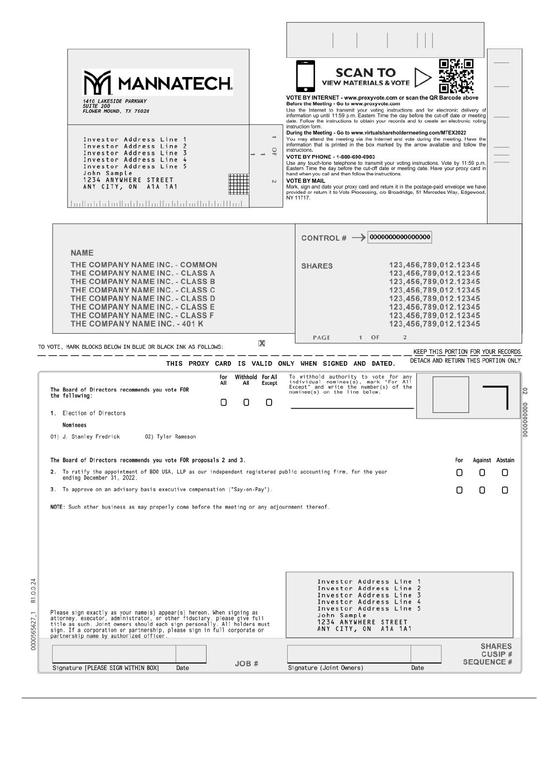| <b>MANNATECH.</b><br><b>1410 LAKESIDE PARKWAY</b><br>SUITE 200<br>FLOWER MOUND, TX 75028<br>Investor Address Line 1<br>Investor Address Line 2<br>$\frac{1}{2}$<br>Investor Address Line 3<br>Investor Address Line 4<br>Investor Address Line 5<br>John Sample<br>1234 ANYWHERE STREET<br>$\sim$<br>ANY CITY, ON A1A 1A1<br><u>ludlahluludulahladludi hluludulalllud</u>                       | <b>SCAN TO</b><br><b>VIEW MATERIALS &amp; VOTE</b><br>VOTE BY INTERNET - www.proxyvote.com or scan the QR Barcode above<br>Before the Meeting - Go to www.proxyvote.com<br>Use the Internet to transmit your voting instructions and for electronic delivery of<br>information up until 11:59 p.m. Eastern Time the day before the cut-off date or meeting<br>date. Follow the instructions to obtain your records and to create an electronic voting<br>instruction form.<br>During the Meeting - Go to www.virtualshareholdermeeting.com/MTEX2022<br>You may attend the meeting via the Internet and vote during the meeting. Have the<br>information that is printed in the box marked by the arrow available and follow the<br>instructions.<br>VOTE BY PHONE - 1-800-690-6903<br>Use any touch-tone telephone to transmit your voting instructions. Vote by 11:59 p.m.<br>Eastern Time the day before the cut-off date or meeting date. Have your proxy card in<br>hand when you call and then follow the instructions.<br><b>VOTE BY MAIL</b><br>Mark, sign and date your proxy card and return it in the postage-paid envelope we have<br>provided or return it to Vote Processing, c/o Broadridge, 51 Mercedes Way, Edgewood,<br>NY 11717. |
|-------------------------------------------------------------------------------------------------------------------------------------------------------------------------------------------------------------------------------------------------------------------------------------------------------------------------------------------------------------------------------------------------|----------------------------------------------------------------------------------------------------------------------------------------------------------------------------------------------------------------------------------------------------------------------------------------------------------------------------------------------------------------------------------------------------------------------------------------------------------------------------------------------------------------------------------------------------------------------------------------------------------------------------------------------------------------------------------------------------------------------------------------------------------------------------------------------------------------------------------------------------------------------------------------------------------------------------------------------------------------------------------------------------------------------------------------------------------------------------------------------------------------------------------------------------------------------------------------------------------------------------------------------------|
| <b>NAME</b><br>THE COMPANY NAME INC. - COMMON<br>THE COMPANY NAME INC. - CLASS A<br>THE COMPANY NAME INC. - CLASS B<br>THE COMPANY NAME INC. - CLASS C<br>THE COMPANY NAME INC. - CLASS D<br>THE COMPANY NAME INC. - CLASS E<br>THE COMPANY NAME INC. - CLASS F<br>THE COMPANY NAME INC. - 401 K<br>x<br>TO VOTE, MARK BLOCKS BELOW IN BLUE OR BLACK INK AS FOLLOWS:                            | 0000000000000000<br>CONTROL# $\rightarrow$<br>123,456,789,012.12345<br><b>SHARES</b><br>123,456,789,012.12345<br>123,456,789,012.12345<br>123,456,789,012.12345<br>123,456,789,012.12345<br>123,456,789,012.12345<br>123,456,789,012.12345<br>123,456,789,012.12345<br>$1$ OF<br>$\mathbf{2}$<br>PAGE<br>KEEP THIS PORTION FOR YOUR RECORDS                                                                                                                                                                                                                                                                                                                                                                                                                                                                                                                                                                                                                                                                                                                                                                                                                                                                                                        |
| THIS PROXY CARD IS VALID ONLY WHEN SIGNED AND DATED.<br>Withhold For All<br>For<br>All<br>All<br>Except<br>The Board of Directors recommends you vote FOR<br>the following:<br>Ω<br>O<br>O<br>1. Election of Directors<br>Nominees<br>01) J. Stanley Fredrick<br>02) Tyler Rameson                                                                                                              | DETACH AND RETURN THIS PORTION ONLY<br>To withhold authority to vote for any<br>individual nominee(s), mark "For All<br>Except" and write the number(s) of the<br>nominee(s) on the line below.                                                                                                                                                                                                                                                                                                                                                                                                                                                                                                                                                                                                                                                                                                                                                                                                                                                                                                                                                                                                                                                    |
| The Board of Directors recommends you vote FOR proposals 2 and 3.<br>2. To ratify the appointment of BDO USA, LLP as our independent registered public accounting firm, for the year<br>ending December 31, 2022.<br>3. To approve on an advisory basis executive compensation ("Say-on-Pay").<br>NOTE: Such other business as may properly come before the meeting or any adjournment thereof. | <b>Against Abstain</b><br>For<br>O<br>U<br>U<br>Ο<br>0<br>Ο                                                                                                                                                                                                                                                                                                                                                                                                                                                                                                                                                                                                                                                                                                                                                                                                                                                                                                                                                                                                                                                                                                                                                                                        |
| Please sign exactly as your name(s) appear(s) hereon. When signing as<br>attorney, executor, administrator, or other fiduciary, please give full<br>title as such. Joint owners should each sign personally. All holders must<br>sign. If a corporation or partnership, please sign in full corporate or<br>partnership name by authorized officer.                                             | Investor Address Line 1<br>Investor Address Line 2<br>Investor Address Line 3<br>Investor Address Line 4<br>Investor Address Line 5<br>John Sample<br>1234 ANYWHERE STREET<br>ANY CITY, ON A1A 1A1                                                                                                                                                                                                                                                                                                                                                                                                                                                                                                                                                                                                                                                                                                                                                                                                                                                                                                                                                                                                                                                 |
|                                                                                                                                                                                                                                                                                                                                                                                                 | <b>SHARES</b>                                                                                                                                                                                                                                                                                                                                                                                                                                                                                                                                                                                                                                                                                                                                                                                                                                                                                                                                                                                                                                                                                                                                                                                                                                      |

0000565627\_1 R1.0.0.24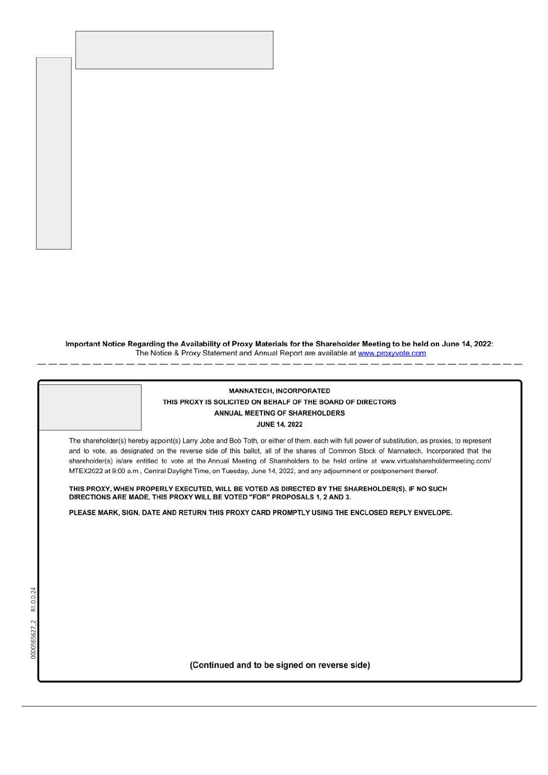Important Notice Regarding the Availability of Proxy Materials for the Shareholder Meeting to be held on June 14, 2022:<br>The Notice & Proxy Statement and Annual Report are available at www.proxyvote.com

| <b>MANNATECH, INCORPORATED</b><br>THIS PROXY IS SOLICITED ON BEHALF OF THE BOARD OF DIRECTORS<br>ANNUAL MEETING OF SHAREHOLDERS<br><b>JUNE 14, 2022</b>                                                                                                                                                                                                                                                                                                                                                                                                  |  |
|----------------------------------------------------------------------------------------------------------------------------------------------------------------------------------------------------------------------------------------------------------------------------------------------------------------------------------------------------------------------------------------------------------------------------------------------------------------------------------------------------------------------------------------------------------|--|
| The shareholder(s) hereby appoint(s) Larry Jobe and Bob Toth, or either of them, each with full power of substitution, as proxies, to represent<br>and to vote, as designated on the reverse side of this ballot, all of the shares of Common Stock of Mannatech, Incorporated that the<br>shareholder(s) is/are entitled to vote at the Annual Meeting of Shareholders to be held online at www.virtualshareholdermeeting.com/<br>MTEX2022 at 9:00 a.m., Central Daylight Time, on Tuesday, June 14, 2022, and any adjournment or postponement thereof. |  |
| THIS PROXY, WHEN PROPERLY EXECUTED, WILL BE VOTED AS DIRECTED BY THE SHAREHOLDER(S). IF NO SUCH<br>DIRECTIONS ARE MADE, THIS PROXY WILL BE VOTED "FOR" PROPOSALS 1, 2 AND 3.                                                                                                                                                                                                                                                                                                                                                                             |  |
| PLEASE MARK, SIGN, DATE AND RETURN THIS PROXY CARD PROMPTLY USING THE ENCLOSED REPLY ENVELOPE.                                                                                                                                                                                                                                                                                                                                                                                                                                                           |  |
|                                                                                                                                                                                                                                                                                                                                                                                                                                                                                                                                                          |  |
|                                                                                                                                                                                                                                                                                                                                                                                                                                                                                                                                                          |  |
|                                                                                                                                                                                                                                                                                                                                                                                                                                                                                                                                                          |  |
|                                                                                                                                                                                                                                                                                                                                                                                                                                                                                                                                                          |  |
|                                                                                                                                                                                                                                                                                                                                                                                                                                                                                                                                                          |  |
| 0000565627_2                                                                                                                                                                                                                                                                                                                                                                                                                                                                                                                                             |  |
| (Continued and to be signed on reverse side)                                                                                                                                                                                                                                                                                                                                                                                                                                                                                                             |  |